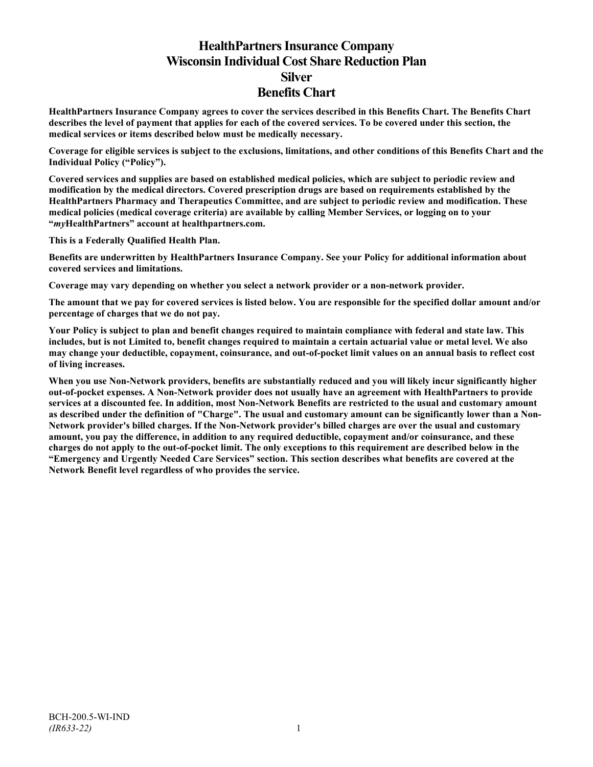# **HealthPartners Insurance Company Wisconsin Individual Cost Share Reduction Plan Silver Benefits Chart**

**HealthPartners Insurance Company agrees to cover the services described in this Benefits Chart. The Benefits Chart describes the level of payment that applies for each of the covered services. To be covered under this section, the medical services or items described below must be medically necessary.**

**Coverage for eligible services is subject to the exclusions, limitations, and other conditions of this Benefits Chart and the Individual Policy ("Policy").**

**Covered services and supplies are based on established medical policies, which are subject to periodic review and modification by the medical directors. Covered prescription drugs are based on requirements established by the HealthPartners Pharmacy and Therapeutics Committee, and are subject to periodic review and modification. These medical policies (medical coverage criteria) are available by calling Member Services, or logging on to your "***my***HealthPartners" account at [healthpartners.com.](http://www.healthpartners.com/)**

**This is a Federally Qualified Health Plan.**

**Benefits are underwritten by HealthPartners Insurance Company. See your Policy for additional information about covered services and limitations.**

**Coverage may vary depending on whether you select a network provider or a non-network provider.**

**The amount that we pay for covered services is listed below. You are responsible for the specified dollar amount and/or percentage of charges that we do not pay.**

**Your Policy is subject to plan and benefit changes required to maintain compliance with federal and state law. This includes, but is not Limited to, benefit changes required to maintain a certain actuarial value or metal level. We also may change your deductible, copayment, coinsurance, and out-of-pocket limit values on an annual basis to reflect cost of living increases.**

**When you use Non-Network providers, benefits are substantially reduced and you will likely incur significantly higher out-of-pocket expenses. A Non-Network provider does not usually have an agreement with HealthPartners to provide services at a discounted fee. In addition, most Non-Network Benefits are restricted to the usual and customary amount as described under the definition of "Charge". The usual and customary amount can be significantly lower than a Non-Network provider's billed charges. If the Non-Network provider's billed charges are over the usual and customary amount, you pay the difference, in addition to any required deductible, copayment and/or coinsurance, and these charges do not apply to the out-of-pocket limit. The only exceptions to this requirement are described below in the "Emergency and Urgently Needed Care Services" section. This section describes what benefits are covered at the Network Benefit level regardless of who provides the service.**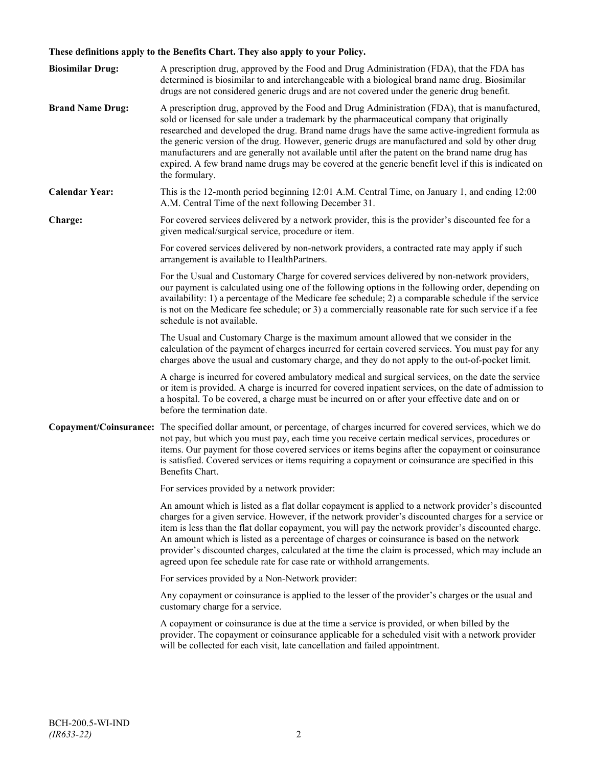## **These definitions apply to the Benefits Chart. They also apply to your Policy.**

| <b>Biosimilar Drug:</b> | A prescription drug, approved by the Food and Drug Administration (FDA), that the FDA has<br>determined is biosimilar to and interchangeable with a biological brand name drug. Biosimilar<br>drugs are not considered generic drugs and are not covered under the generic drug benefit.                                                                                                                                                                                                                                                                                                                                     |
|-------------------------|------------------------------------------------------------------------------------------------------------------------------------------------------------------------------------------------------------------------------------------------------------------------------------------------------------------------------------------------------------------------------------------------------------------------------------------------------------------------------------------------------------------------------------------------------------------------------------------------------------------------------|
| <b>Brand Name Drug:</b> | A prescription drug, approved by the Food and Drug Administration (FDA), that is manufactured,<br>sold or licensed for sale under a trademark by the pharmaceutical company that originally<br>researched and developed the drug. Brand name drugs have the same active-ingredient formula as<br>the generic version of the drug. However, generic drugs are manufactured and sold by other drug<br>manufacturers and are generally not available until after the patent on the brand name drug has<br>expired. A few brand name drugs may be covered at the generic benefit level if this is indicated on<br>the formulary. |
| <b>Calendar Year:</b>   | This is the 12-month period beginning 12:01 A.M. Central Time, on January 1, and ending 12:00<br>A.M. Central Time of the next following December 31.                                                                                                                                                                                                                                                                                                                                                                                                                                                                        |
| Charge:                 | For covered services delivered by a network provider, this is the provider's discounted fee for a<br>given medical/surgical service, procedure or item.                                                                                                                                                                                                                                                                                                                                                                                                                                                                      |
|                         | For covered services delivered by non-network providers, a contracted rate may apply if such<br>arrangement is available to HealthPartners.                                                                                                                                                                                                                                                                                                                                                                                                                                                                                  |
|                         | For the Usual and Customary Charge for covered services delivered by non-network providers,<br>our payment is calculated using one of the following options in the following order, depending on<br>availability: 1) a percentage of the Medicare fee schedule; 2) a comparable schedule if the service<br>is not on the Medicare fee schedule; or 3) a commercially reasonable rate for such service if a fee<br>schedule is not available.                                                                                                                                                                                 |
|                         | The Usual and Customary Charge is the maximum amount allowed that we consider in the<br>calculation of the payment of charges incurred for certain covered services. You must pay for any<br>charges above the usual and customary charge, and they do not apply to the out-of-pocket limit.                                                                                                                                                                                                                                                                                                                                 |
|                         | A charge is incurred for covered ambulatory medical and surgical services, on the date the service<br>or item is provided. A charge is incurred for covered inpatient services, on the date of admission to<br>a hospital. To be covered, a charge must be incurred on or after your effective date and on or<br>before the termination date.                                                                                                                                                                                                                                                                                |
|                         | Copayment/Coinsurance: The specified dollar amount, or percentage, of charges incurred for covered services, which we do<br>not pay, but which you must pay, each time you receive certain medical services, procedures or<br>items. Our payment for those covered services or items begins after the copayment or coinsurance<br>is satisfied. Covered services or items requiring a copayment or coinsurance are specified in this<br>Benefits Chart.                                                                                                                                                                      |
|                         | For services provided by a network provider:                                                                                                                                                                                                                                                                                                                                                                                                                                                                                                                                                                                 |
|                         | An amount which is listed as a flat dollar copayment is applied to a network provider's discounted<br>charges for a given service. However, if the network provider's discounted charges for a service or<br>item is less than the flat dollar copayment, you will pay the network provider's discounted charge.<br>An amount which is listed as a percentage of charges or coinsurance is based on the network<br>provider's discounted charges, calculated at the time the claim is processed, which may include an<br>agreed upon fee schedule rate for case rate or withhold arrangements.                               |
|                         | For services provided by a Non-Network provider:                                                                                                                                                                                                                                                                                                                                                                                                                                                                                                                                                                             |
|                         | Any copayment or coinsurance is applied to the lesser of the provider's charges or the usual and<br>customary charge for a service.                                                                                                                                                                                                                                                                                                                                                                                                                                                                                          |
|                         | A copayment or coinsurance is due at the time a service is provided, or when billed by the<br>provider. The copayment or coinsurance applicable for a scheduled visit with a network provider<br>will be collected for each visit, late cancellation and failed appointment.                                                                                                                                                                                                                                                                                                                                                 |
|                         |                                                                                                                                                                                                                                                                                                                                                                                                                                                                                                                                                                                                                              |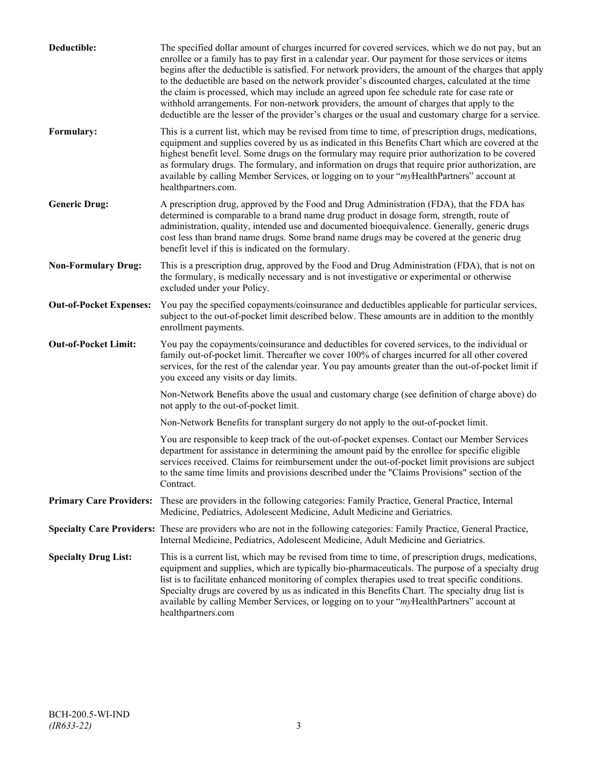| Deductible:                    | The specified dollar amount of charges incurred for covered services, which we do not pay, but an<br>enrollee or a family has to pay first in a calendar year. Our payment for those services or items<br>begins after the deductible is satisfied. For network providers, the amount of the charges that apply<br>to the deductible are based on the network provider's discounted charges, calculated at the time<br>the claim is processed, which may include an agreed upon fee schedule rate for case rate or<br>withhold arrangements. For non-network providers, the amount of charges that apply to the<br>deductible are the lesser of the provider's charges or the usual and customary charge for a service. |
|--------------------------------|-------------------------------------------------------------------------------------------------------------------------------------------------------------------------------------------------------------------------------------------------------------------------------------------------------------------------------------------------------------------------------------------------------------------------------------------------------------------------------------------------------------------------------------------------------------------------------------------------------------------------------------------------------------------------------------------------------------------------|
| Formulary:                     | This is a current list, which may be revised from time to time, of prescription drugs, medications,<br>equipment and supplies covered by us as indicated in this Benefits Chart which are covered at the<br>highest benefit level. Some drugs on the formulary may require prior authorization to be covered<br>as formulary drugs. The formulary, and information on drugs that require prior authorization, are<br>available by calling Member Services, or logging on to your "myHealthPartners" account at<br>healthpartners.com.                                                                                                                                                                                   |
| <b>Generic Drug:</b>           | A prescription drug, approved by the Food and Drug Administration (FDA), that the FDA has<br>determined is comparable to a brand name drug product in dosage form, strength, route of<br>administration, quality, intended use and documented bioequivalence. Generally, generic drugs<br>cost less than brand name drugs. Some brand name drugs may be covered at the generic drug<br>benefit level if this is indicated on the formulary.                                                                                                                                                                                                                                                                             |
| <b>Non-Formulary Drug:</b>     | This is a prescription drug, approved by the Food and Drug Administration (FDA), that is not on<br>the formulary, is medically necessary and is not investigative or experimental or otherwise<br>excluded under your Policy.                                                                                                                                                                                                                                                                                                                                                                                                                                                                                           |
| <b>Out-of-Pocket Expenses:</b> | You pay the specified copayments/coinsurance and deductibles applicable for particular services,<br>subject to the out-of-pocket limit described below. These amounts are in addition to the monthly<br>enrollment payments.                                                                                                                                                                                                                                                                                                                                                                                                                                                                                            |
| <b>Out-of-Pocket Limit:</b>    | You pay the copayments/coinsurance and deductibles for covered services, to the individual or<br>family out-of-pocket limit. Thereafter we cover 100% of charges incurred for all other covered<br>services, for the rest of the calendar year. You pay amounts greater than the out-of-pocket limit if<br>you exceed any visits or day limits.                                                                                                                                                                                                                                                                                                                                                                         |
|                                | Non-Network Benefits above the usual and customary charge (see definition of charge above) do<br>not apply to the out-of-pocket limit.                                                                                                                                                                                                                                                                                                                                                                                                                                                                                                                                                                                  |
|                                | Non-Network Benefits for transplant surgery do not apply to the out-of-pocket limit.                                                                                                                                                                                                                                                                                                                                                                                                                                                                                                                                                                                                                                    |
|                                | You are responsible to keep track of the out-of-pocket expenses. Contact our Member Services<br>department for assistance in determining the amount paid by the enrollee for specific eligible<br>services received. Claims for reimbursement under the out-of-pocket limit provisions are subject<br>to the same time limits and provisions described under the "Claims Provisions" section of the<br>Contract.                                                                                                                                                                                                                                                                                                        |
| <b>Primary Care Providers:</b> | These are providers in the following categories: Family Practice, General Practice, Internal<br>Medicine, Pediatrics, Adolescent Medicine, Adult Medicine and Geriatrics.                                                                                                                                                                                                                                                                                                                                                                                                                                                                                                                                               |
|                                | Specialty Care Providers: These are providers who are not in the following categories: Family Practice, General Practice,<br>Internal Medicine, Pediatrics, Adolescent Medicine, Adult Medicine and Geriatrics.                                                                                                                                                                                                                                                                                                                                                                                                                                                                                                         |
| <b>Specialty Drug List:</b>    | This is a current list, which may be revised from time to time, of prescription drugs, medications,<br>equipment and supplies, which are typically bio-pharmaceuticals. The purpose of a specialty drug<br>list is to facilitate enhanced monitoring of complex therapies used to treat specific conditions.<br>Specialty drugs are covered by us as indicated in this Benefits Chart. The specialty drug list is<br>available by calling Member Services, or logging on to your "myHealthPartners" account at<br>healthpartners.com                                                                                                                                                                                    |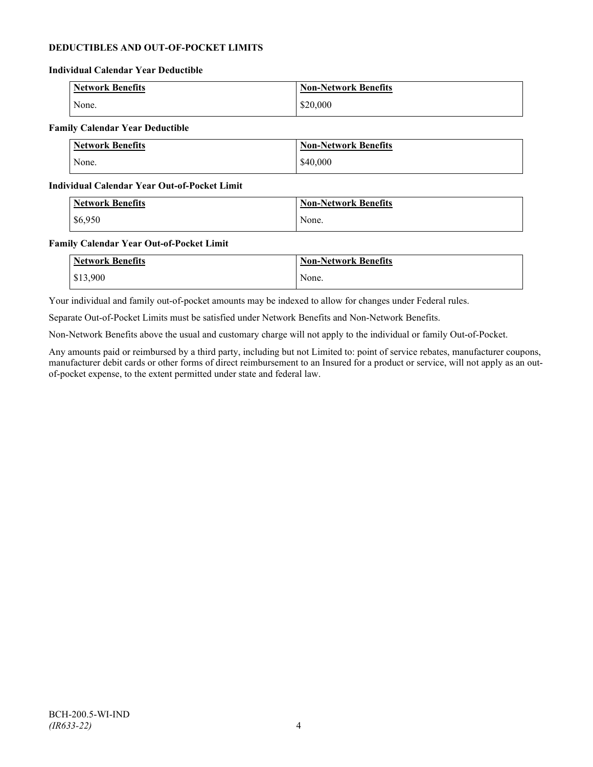## **DEDUCTIBLES AND OUT-OF-POCKET LIMITS**

#### **Individual Calendar Year Deductible**

| Network Benefits | <b>Non-Network Benefits</b> |
|------------------|-----------------------------|
| None.            | \$20,000                    |

## **Family Calendar Year Deductible**

| Network Benefits | <b>Non-Network Benefits</b> |
|------------------|-----------------------------|
| None.            | \$40,000                    |

### **Individual Calendar Year Out-of-Pocket Limit**

| <b>Network Benefits</b> | <b>Non-Network Benefits</b> |
|-------------------------|-----------------------------|
| \$6,950                 | None.                       |

### **Family Calendar Year Out-of-Pocket Limit**

| <b>Network Benefits</b> | <b>Non-Network Benefits</b> |
|-------------------------|-----------------------------|
| \$13,900                | None.                       |

Your individual and family out-of-pocket amounts may be indexed to allow for changes under Federal rules.

Separate Out-of-Pocket Limits must be satisfied under Network Benefits and Non-Network Benefits.

Non-Network Benefits above the usual and customary charge will not apply to the individual or family Out-of-Pocket.

Any amounts paid or reimbursed by a third party, including but not Limited to: point of service rebates, manufacturer coupons, manufacturer debit cards or other forms of direct reimbursement to an Insured for a product or service, will not apply as an outof-pocket expense, to the extent permitted under state and federal law.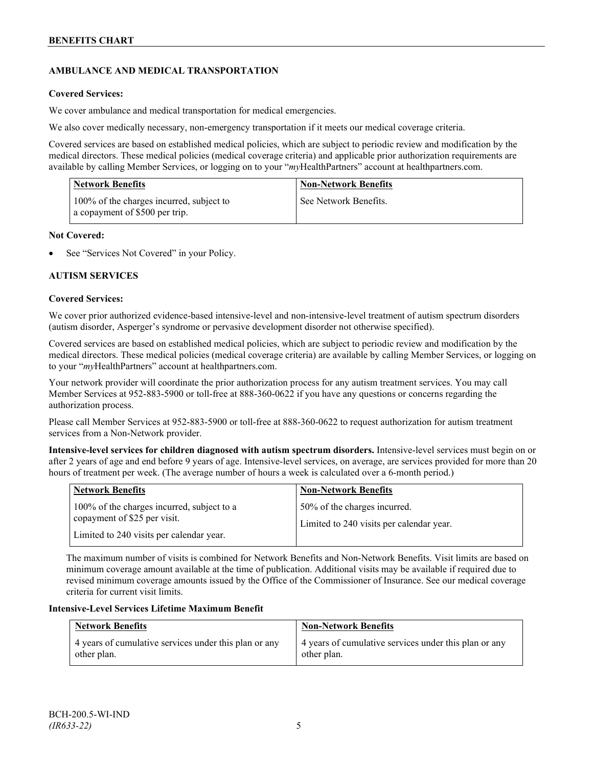## **AMBULANCE AND MEDICAL TRANSPORTATION**

## **Covered Services:**

We cover ambulance and medical transportation for medical emergencies.

We also cover medically necessary, non-emergency transportation if it meets our medical coverage criteria.

Covered services are based on established medical policies, which are subject to periodic review and modification by the medical directors. These medical policies (medical coverage criteria) and applicable prior authorization requirements are available by calling Member Services, or logging on to your "*my*HealthPartners" account a[t healthpartners.com.](http://www.healthpartners.com/)

| <b>Network Benefits</b>                                                    | <b>Non-Network Benefits</b> |
|----------------------------------------------------------------------------|-----------------------------|
| 100% of the charges incurred, subject to<br>a copayment of \$500 per trip. | See Network Benefits.       |

## **Not Covered:**

See "Services Not Covered" in your Policy.

## **AUTISM SERVICES**

### **Covered Services:**

We cover prior authorized evidence-based intensive-level and non-intensive-level treatment of autism spectrum disorders (autism disorder, Asperger's syndrome or pervasive development disorder not otherwise specified).

Covered services are based on established medical policies, which are subject to periodic review and modification by the medical directors. These medical policies (medical coverage criteria) are available by calling Member Services, or logging on to your "*my*HealthPartners" account at [healthpartners.com.](http://www.healthpartners.com/)

Your network provider will coordinate the prior authorization process for any autism treatment services. You may call Member Services at 952-883-5900 or toll-free at 888-360-0622 if you have any questions or concerns regarding the authorization process.

Please call Member Services at 952-883-5900 or toll-free at 888-360-0622 to request authorization for autism treatment services from a Non-Network provider.

**Intensive-level services for children diagnosed with autism spectrum disorders.** Intensive-level services must begin on or after 2 years of age and end before 9 years of age. Intensive-level services, on average, are services provided for more than 20 hours of treatment per week. (The average number of hours a week is calculated over a 6-month period.)

| <b>Network Benefits</b>                                                                                                | <b>Non-Network Benefits</b>                                              |
|------------------------------------------------------------------------------------------------------------------------|--------------------------------------------------------------------------|
| 100% of the charges incurred, subject to a<br>copayment of \$25 per visit.<br>Limited to 240 visits per calendar year. | 50% of the charges incurred.<br>Limited to 240 visits per calendar year. |

The maximum number of visits is combined for Network Benefits and Non-Network Benefits. Visit limits are based on minimum coverage amount available at the time of publication. Additional visits may be available if required due to revised minimum coverage amounts issued by the Office of the Commissioner of Insurance. See our medical coverage criteria for current visit limits.

## **Intensive-Level Services Lifetime Maximum Benefit**

| <b>Network Benefits</b>                               | <b>Non-Network Benefits</b>                           |
|-------------------------------------------------------|-------------------------------------------------------|
| 4 years of cumulative services under this plan or any | 4 years of cumulative services under this plan or any |
| other plan.                                           | other plan.                                           |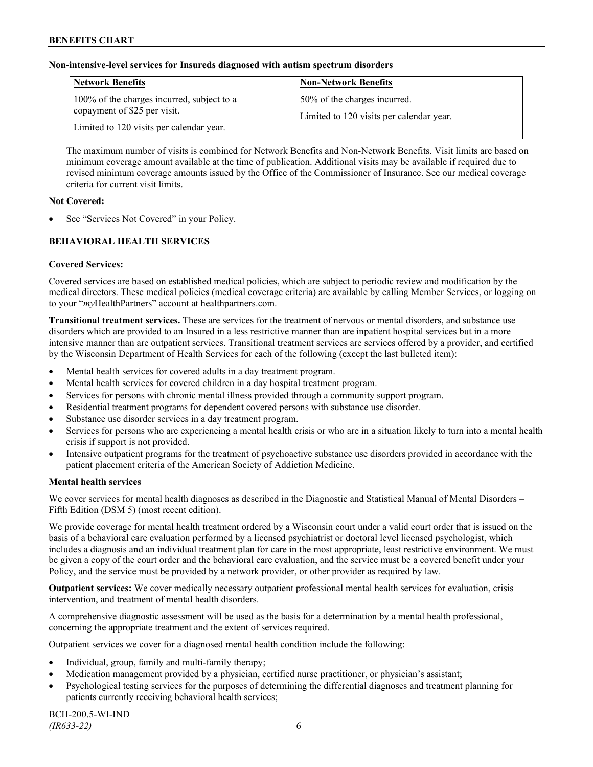## **Non-intensive-level services for Insureds diagnosed with autism spectrum disorders**

| <b>Network Benefits</b>                                                                                                | <b>Non-Network Benefits</b>                                              |
|------------------------------------------------------------------------------------------------------------------------|--------------------------------------------------------------------------|
| 100% of the charges incurred, subject to a<br>copayment of \$25 per visit.<br>Limited to 120 visits per calendar year. | 50% of the charges incurred.<br>Limited to 120 visits per calendar year. |

The maximum number of visits is combined for Network Benefits and Non-Network Benefits. Visit limits are based on minimum coverage amount available at the time of publication. Additional visits may be available if required due to revised minimum coverage amounts issued by the Office of the Commissioner of Insurance. See our medical coverage criteria for current visit limits.

## **Not Covered:**

See "Services Not Covered" in your Policy.

## **BEHAVIORAL HEALTH SERVICES**

## **Covered Services:**

Covered services are based on established medical policies, which are subject to periodic review and modification by the medical directors. These medical policies (medical coverage criteria) are available by calling Member Services, or logging on to your "*my*HealthPartners" account at [healthpartners.com.](http://www.healthpartners.com/)

**Transitional treatment services.** These are services for the treatment of nervous or mental disorders, and substance use disorders which are provided to an Insured in a less restrictive manner than are inpatient hospital services but in a more intensive manner than are outpatient services. Transitional treatment services are services offered by a provider, and certified by the Wisconsin Department of Health Services for each of the following (except the last bulleted item):

- Mental health services for covered adults in a day treatment program.
- Mental health services for covered children in a day hospital treatment program.
- Services for persons with chronic mental illness provided through a community support program.
- Residential treatment programs for dependent covered persons with substance use disorder.
- Substance use disorder services in a day treatment program.
- Services for persons who are experiencing a mental health crisis or who are in a situation likely to turn into a mental health crisis if support is not provided.
- Intensive outpatient programs for the treatment of psychoactive substance use disorders provided in accordance with the patient placement criteria of the American Society of Addiction Medicine.

## **Mental health services**

We cover services for mental health diagnoses as described in the Diagnostic and Statistical Manual of Mental Disorders – Fifth Edition (DSM 5) (most recent edition).

We provide coverage for mental health treatment ordered by a Wisconsin court under a valid court order that is issued on the basis of a behavioral care evaluation performed by a licensed psychiatrist or doctoral level licensed psychologist, which includes a diagnosis and an individual treatment plan for care in the most appropriate, least restrictive environment. We must be given a copy of the court order and the behavioral care evaluation, and the service must be a covered benefit under your Policy, and the service must be provided by a network provider, or other provider as required by law.

**Outpatient services:** We cover medically necessary outpatient professional mental health services for evaluation, crisis intervention, and treatment of mental health disorders.

A comprehensive diagnostic assessment will be used as the basis for a determination by a mental health professional, concerning the appropriate treatment and the extent of services required.

Outpatient services we cover for a diagnosed mental health condition include the following:

- Individual, group, family and multi-family therapy;
- Medication management provided by a physician, certified nurse practitioner, or physician's assistant;
- Psychological testing services for the purposes of determining the differential diagnoses and treatment planning for patients currently receiving behavioral health services;

BCH-200.5-WI-IND *(IR633-22)* 6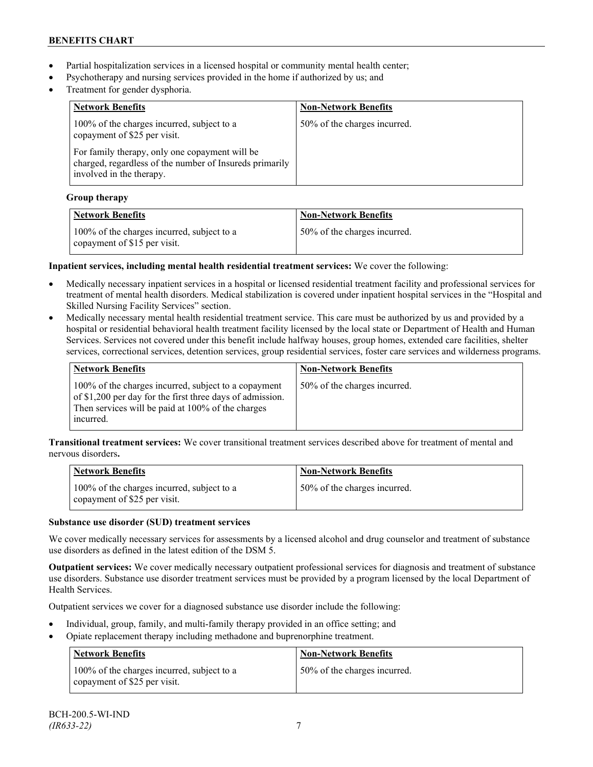- Partial hospitalization services in a licensed hospital or community mental health center;
- Psychotherapy and nursing services provided in the home if authorized by us; and
- Treatment for gender dysphoria.

| <b>Network Benefits</b>                                                                                                               | <b>Non-Network Benefits</b>  |
|---------------------------------------------------------------------------------------------------------------------------------------|------------------------------|
| 100% of the charges incurred, subject to a<br>copayment of \$25 per visit.                                                            | 50% of the charges incurred. |
| For family therapy, only one copayment will be<br>charged, regardless of the number of Insureds primarily<br>involved in the therapy. |                              |

## **Group therapy**

| <b>Network Benefits</b>                                                    | <b>Non-Network Benefits</b>  |
|----------------------------------------------------------------------------|------------------------------|
| 100% of the charges incurred, subject to a<br>copayment of \$15 per visit. | 50% of the charges incurred. |

## **Inpatient services, including mental health residential treatment services:** We cover the following:

- Medically necessary inpatient services in a hospital or licensed residential treatment facility and professional services for treatment of mental health disorders. Medical stabilization is covered under inpatient hospital services in the "Hospital and Skilled Nursing Facility Services" section.
- Medically necessary mental health residential treatment service. This care must be authorized by us and provided by a hospital or residential behavioral health treatment facility licensed by the local state or Department of Health and Human Services. Services not covered under this benefit include halfway houses, group homes, extended care facilities, shelter services, correctional services, detention services, group residential services, foster care services and wilderness programs.

| Network Benefits                                                                                                                                                                    | <b>Non-Network Benefits</b>  |
|-------------------------------------------------------------------------------------------------------------------------------------------------------------------------------------|------------------------------|
| 100% of the charges incurred, subject to a copayment<br>of \$1,200 per day for the first three days of admission.<br>Then services will be paid at 100% of the charges<br>incurred. | 50% of the charges incurred. |

**Transitional treatment services:** We cover transitional treatment services described above for treatment of mental and nervous disorders**.**

| <b>Network Benefits</b>                                                    | <b>Non-Network Benefits</b>  |
|----------------------------------------------------------------------------|------------------------------|
| 100% of the charges incurred, subject to a<br>copayment of \$25 per visit. | 50% of the charges incurred. |

## **Substance use disorder (SUD) treatment services**

We cover medically necessary services for assessments by a licensed alcohol and drug counselor and treatment of substance use disorders as defined in the latest edition of the DSM 5.

**Outpatient services:** We cover medically necessary outpatient professional services for diagnosis and treatment of substance use disorders. Substance use disorder treatment services must be provided by a program licensed by the local Department of Health Services.

Outpatient services we cover for a diagnosed substance use disorder include the following:

- Individual, group, family, and multi-family therapy provided in an office setting; and
- Opiate replacement therapy including methadone and buprenorphine treatment.

| <b>Network Benefits</b>                                                    | <b>Non-Network Benefits</b>  |
|----------------------------------------------------------------------------|------------------------------|
| 100% of the charges incurred, subject to a<br>copayment of \$25 per visit. | 50% of the charges incurred. |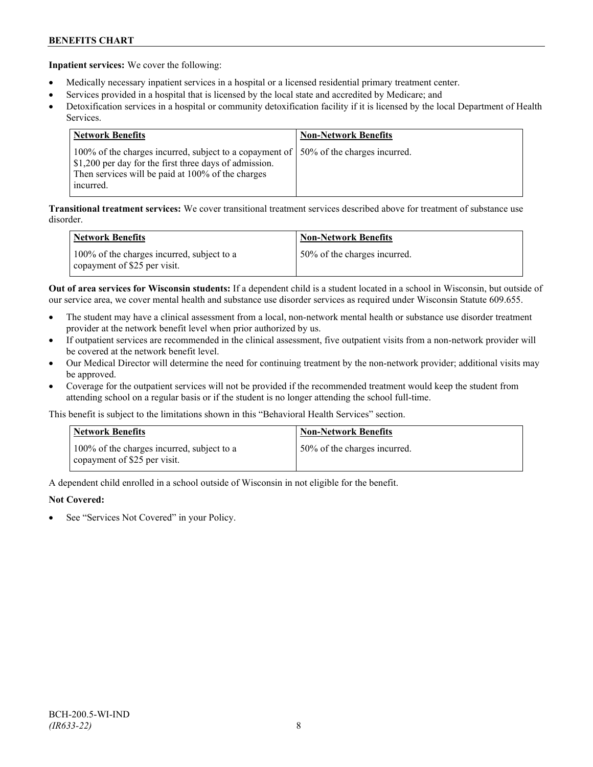**Inpatient services:** We cover the following:

- Medically necessary inpatient services in a hospital or a licensed residential primary treatment center.
- Services provided in a hospital that is licensed by the local state and accredited by Medicare; and
- Detoxification services in a hospital or community detoxification facility if it is licensed by the local Department of Health Services.

| <b>Network Benefits</b>                                                                                                                                                                                            | <b>Non-Network Benefits</b> |
|--------------------------------------------------------------------------------------------------------------------------------------------------------------------------------------------------------------------|-----------------------------|
| 100% of the charges incurred, subject to a copayment of   50% of the charges incurred.<br>\$1,200 per day for the first three days of admission.<br>Then services will be paid at 100% of the charges<br>incurred. |                             |

**Transitional treatment services:** We cover transitional treatment services described above for treatment of substance use disorder.

| <b>Network Benefits</b>                                                    | <b>Non-Network Benefits</b>  |
|----------------------------------------------------------------------------|------------------------------|
| 100% of the charges incurred, subject to a<br>copayment of \$25 per visit. | 50% of the charges incurred. |

**Out of area services for Wisconsin students:** If a dependent child is a student located in a school in Wisconsin, but outside of our service area, we cover mental health and substance use disorder services as required under Wisconsin Statute 609.655.

- The student may have a clinical assessment from a local, non-network mental health or substance use disorder treatment provider at the network benefit level when prior authorized by us.
- If outpatient services are recommended in the clinical assessment, five outpatient visits from a non-network provider will be covered at the network benefit level.
- Our Medical Director will determine the need for continuing treatment by the non-network provider; additional visits may be approved.
- Coverage for the outpatient services will not be provided if the recommended treatment would keep the student from attending school on a regular basis or if the student is no longer attending the school full-time.

This benefit is subject to the limitations shown in this "Behavioral Health Services" section.

| <b>Network Benefits</b>                                                    | <b>Non-Network Benefits</b>  |
|----------------------------------------------------------------------------|------------------------------|
| 100% of the charges incurred, subject to a<br>copayment of \$25 per visit. | 50% of the charges incurred. |

A dependent child enrolled in a school outside of Wisconsin in not eligible for the benefit.

## **Not Covered:**

See "Services Not Covered" in your Policy.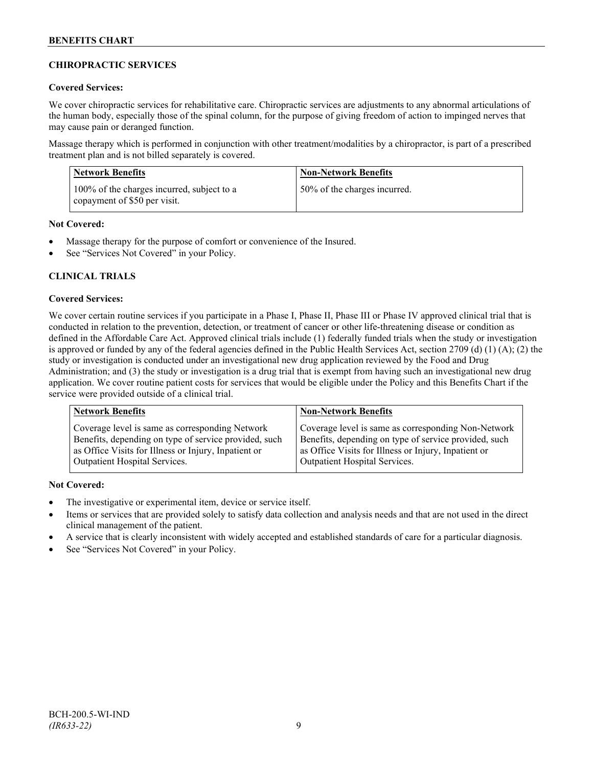## **CHIROPRACTIC SERVICES**

## **Covered Services:**

We cover chiropractic services for rehabilitative care. Chiropractic services are adjustments to any abnormal articulations of the human body, especially those of the spinal column, for the purpose of giving freedom of action to impinged nerves that may cause pain or deranged function.

Massage therapy which is performed in conjunction with other treatment/modalities by a chiropractor, is part of a prescribed treatment plan and is not billed separately is covered.

| Network Benefits                                                           | <b>Non-Network Benefits</b>  |
|----------------------------------------------------------------------------|------------------------------|
| 100% of the charges incurred, subject to a<br>copayment of \$50 per visit. | 50% of the charges incurred. |

## **Not Covered:**

- Massage therapy for the purpose of comfort or convenience of the Insured.
- See "Services Not Covered" in your Policy.

## **CLINICAL TRIALS**

### **Covered Services:**

We cover certain routine services if you participate in a Phase I, Phase II, Phase III or Phase IV approved clinical trial that is conducted in relation to the prevention, detection, or treatment of cancer or other life-threatening disease or condition as defined in the Affordable Care Act. Approved clinical trials include (1) federally funded trials when the study or investigation is approved or funded by any of the federal agencies defined in the Public Health Services Act, section 2709 (d) (1) (A); (2) the study or investigation is conducted under an investigational new drug application reviewed by the Food and Drug Administration; and (3) the study or investigation is a drug trial that is exempt from having such an investigational new drug application. We cover routine patient costs for services that would be eligible under the Policy and this Benefits Chart if the service were provided outside of a clinical trial.

| <b>Network Benefits</b>                               | <b>Non-Network Benefits</b>                           |
|-------------------------------------------------------|-------------------------------------------------------|
| Coverage level is same as corresponding Network       | Coverage level is same as corresponding Non-Network   |
| Benefits, depending on type of service provided, such | Benefits, depending on type of service provided, such |
| as Office Visits for Illness or Injury, Inpatient or  | as Office Visits for Illness or Injury, Inpatient or  |
| Outpatient Hospital Services.                         | Outpatient Hospital Services.                         |

## **Not Covered:**

- The investigative or experimental item, device or service itself.
- Items or services that are provided solely to satisfy data collection and analysis needs and that are not used in the direct clinical management of the patient.
- A service that is clearly inconsistent with widely accepted and established standards of care for a particular diagnosis.
- See "Services Not Covered" in your Policy.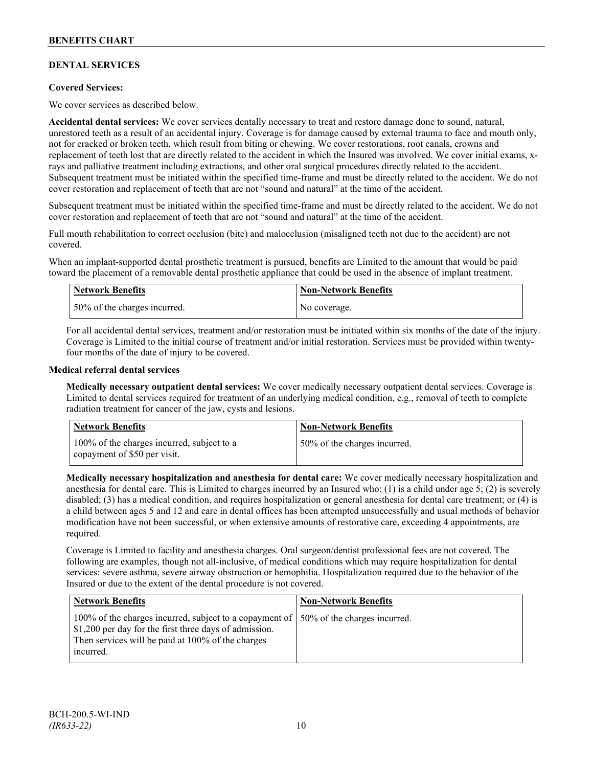## **DENTAL SERVICES**

## **Covered Services:**

We cover services as described below.

**Accidental dental services:** We cover services dentally necessary to treat and restore damage done to sound, natural, unrestored teeth as a result of an accidental injury. Coverage is for damage caused by external trauma to face and mouth only, not for cracked or broken teeth, which result from biting or chewing. We cover restorations, root canals, crowns and replacement of teeth lost that are directly related to the accident in which the Insured was involved. We cover initial exams, xrays and palliative treatment including extractions, and other oral surgical procedures directly related to the accident. Subsequent treatment must be initiated within the specified time-frame and must be directly related to the accident. We do not cover restoration and replacement of teeth that are not "sound and natural" at the time of the accident.

Subsequent treatment must be initiated within the specified time-frame and must be directly related to the accident. We do not cover restoration and replacement of teeth that are not "sound and natural" at the time of the accident.

Full mouth rehabilitation to correct occlusion (bite) and malocclusion (misaligned teeth not due to the accident) are not covered.

When an implant-supported dental prosthetic treatment is pursued, benefits are Limited to the amount that would be paid toward the placement of a removable dental prosthetic appliance that could be used in the absence of implant treatment.

| <b>Network Benefits</b>      | <b>Non-Network Benefits</b> |
|------------------------------|-----------------------------|
| 50% of the charges incurred. | No coverage.                |

For all accidental dental services, treatment and/or restoration must be initiated within six months of the date of the injury. Coverage is Limited to the initial course of treatment and/or initial restoration. Services must be provided within twentyfour months of the date of injury to be covered.

### **Medical referral dental services**

**Medically necessary outpatient dental services:** We cover medically necessary outpatient dental services. Coverage is Limited to dental services required for treatment of an underlying medical condition, e.g., removal of teeth to complete radiation treatment for cancer of the jaw, cysts and lesions.

| Network Benefits                                                           | <b>Non-Network Benefits</b>  |
|----------------------------------------------------------------------------|------------------------------|
| 100% of the charges incurred, subject to a<br>copayment of \$50 per visit. | 50% of the charges incurred. |

**Medically necessary hospitalization and anesthesia for dental care:** We cover medically necessary hospitalization and anesthesia for dental care. This is Limited to charges incurred by an Insured who: (1) is a child under age 5; (2) is severely disabled; (3) has a medical condition, and requires hospitalization or general anesthesia for dental care treatment; or (4) is a child between ages 5 and 12 and care in dental offices has been attempted unsuccessfully and usual methods of behavior modification have not been successful, or when extensive amounts of restorative care, exceeding 4 appointments, are required.

Coverage is Limited to facility and anesthesia charges. Oral surgeon/dentist professional fees are not covered. The following are examples, though not all-inclusive, of medical conditions which may require hospitalization for dental services: severe asthma, severe airway obstruction or hemophilia. Hospitalization required due to the behavior of the Insured or due to the extent of the dental procedure is not covered.

| <b>Network Benefits</b>                                                                                                                                                                                            | <b>Non-Network Benefits</b> |
|--------------------------------------------------------------------------------------------------------------------------------------------------------------------------------------------------------------------|-----------------------------|
| 100% of the charges incurred, subject to a copayment of   50% of the charges incurred.<br>\$1,200 per day for the first three days of admission.<br>Then services will be paid at 100% of the charges<br>incurred. |                             |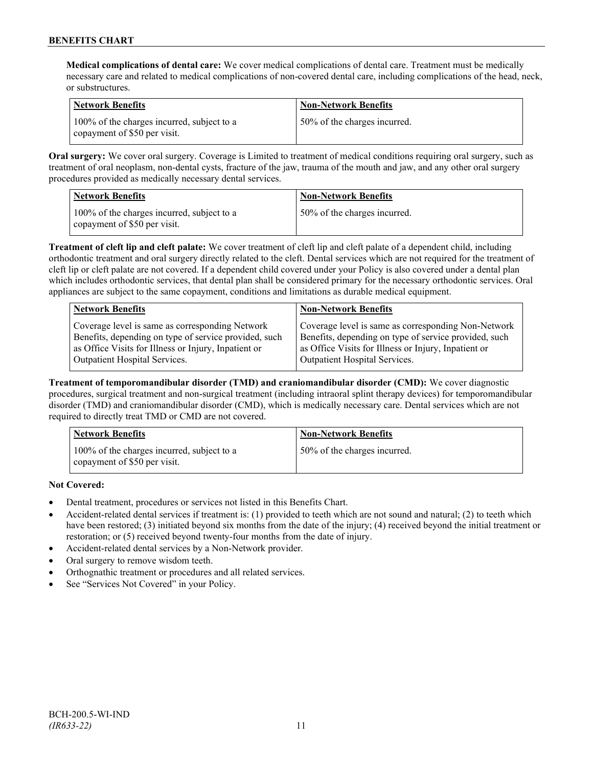**Medical complications of dental care:** We cover medical complications of dental care. Treatment must be medically necessary care and related to medical complications of non-covered dental care, including complications of the head, neck, or substructures.

| Network Benefits                                                           | <b>Non-Network Benefits</b>  |
|----------------------------------------------------------------------------|------------------------------|
| 100% of the charges incurred, subject to a<br>copayment of \$50 per visit. | 50% of the charges incurred. |

**Oral surgery:** We cover oral surgery. Coverage is Limited to treatment of medical conditions requiring oral surgery, such as treatment of oral neoplasm, non-dental cysts, fracture of the jaw, trauma of the mouth and jaw, and any other oral surgery procedures provided as medically necessary dental services.

| Network Benefits                                                           | <b>Non-Network Benefits</b>  |
|----------------------------------------------------------------------------|------------------------------|
| 100% of the charges incurred, subject to a<br>copayment of \$50 per visit. | 50% of the charges incurred. |

**Treatment of cleft lip and cleft palate:** We cover treatment of cleft lip and cleft palate of a dependent child, including orthodontic treatment and oral surgery directly related to the cleft. Dental services which are not required for the treatment of cleft lip or cleft palate are not covered. If a dependent child covered under your Policy is also covered under a dental plan which includes orthodontic services, that dental plan shall be considered primary for the necessary orthodontic services. Oral appliances are subject to the same copayment, conditions and limitations as durable medical equipment.

| <b>Network Benefits</b>                               | <b>Non-Network Benefits</b>                           |
|-------------------------------------------------------|-------------------------------------------------------|
| Coverage level is same as corresponding Network       | Coverage level is same as corresponding Non-Network   |
| Benefits, depending on type of service provided, such | Benefits, depending on type of service provided, such |
| as Office Visits for Illness or Injury, Inpatient or  | as Office Visits for Illness or Injury, Inpatient or  |
| Outpatient Hospital Services.                         | Outpatient Hospital Services.                         |

**Treatment of temporomandibular disorder (TMD) and craniomandibular disorder (CMD):** We cover diagnostic procedures, surgical treatment and non-surgical treatment (including intraoral splint therapy devices) for temporomandibular disorder (TMD) and craniomandibular disorder (CMD), which is medically necessary care. Dental services which are not required to directly treat TMD or CMD are not covered.

| <b>Network Benefits</b>                                                    | <b>Non-Network Benefits</b>  |
|----------------------------------------------------------------------------|------------------------------|
| 100% of the charges incurred, subject to a<br>copayment of \$50 per visit. | 50% of the charges incurred. |

**Not Covered:**

- Dental treatment, procedures or services not listed in this Benefits Chart.
- Accident-related dental services if treatment is: (1) provided to teeth which are not sound and natural; (2) to teeth which have been restored; (3) initiated beyond six months from the date of the injury; (4) received beyond the initial treatment or restoration; or (5) received beyond twenty-four months from the date of injury.
- Accident-related dental services by a Non-Network provider.
- Oral surgery to remove wisdom teeth.
- Orthognathic treatment or procedures and all related services.
- See "Services Not Covered" in your Policy.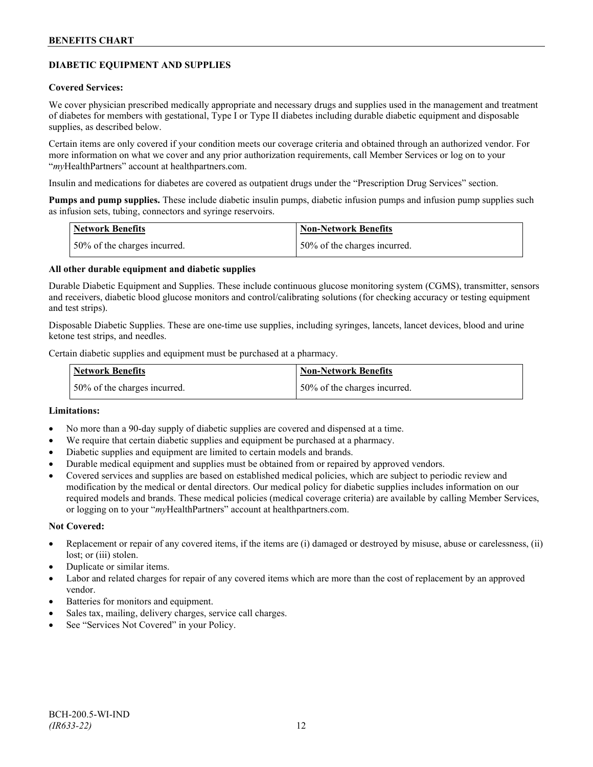## **DIABETIC EQUIPMENT AND SUPPLIES**

### **Covered Services:**

We cover physician prescribed medically appropriate and necessary drugs and supplies used in the management and treatment of diabetes for members with gestational, Type I or Type II diabetes including durable diabetic equipment and disposable supplies, as described below.

Certain items are only covered if your condition meets our coverage criteria and obtained through an authorized vendor. For more information on what we cover and any prior authorization requirements, call Member Services or log on to your "*my*HealthPartners" account at [healthpartners.com.](http://www.healthpartners.com/)

Insulin and medications for diabetes are covered as outpatient drugs under the "Prescription Drug Services" section.

**Pumps and pump supplies.** These include diabetic insulin pumps, diabetic infusion pumps and infusion pump supplies such as infusion sets, tubing, connectors and syringe reservoirs.

| <b>Network Benefits</b>      | <b>Non-Network Benefits</b>  |
|------------------------------|------------------------------|
| 50% of the charges incurred. | 50% of the charges incurred. |

## **All other durable equipment and diabetic supplies**

Durable Diabetic Equipment and Supplies. These include continuous glucose monitoring system (CGMS), transmitter, sensors and receivers, diabetic blood glucose monitors and control/calibrating solutions (for checking accuracy or testing equipment and test strips).

Disposable Diabetic Supplies. These are one-time use supplies, including syringes, lancets, lancet devices, blood and urine ketone test strips, and needles.

Certain diabetic supplies and equipment must be purchased at a pharmacy.

| <b>Network Benefits</b>      | <b>Non-Network Benefits</b>  |
|------------------------------|------------------------------|
| 50% of the charges incurred. | 50% of the charges incurred. |

## **Limitations:**

- No more than a 90-day supply of diabetic supplies are covered and dispensed at a time.
- We require that certain diabetic supplies and equipment be purchased at a pharmacy.
- Diabetic supplies and equipment are limited to certain models and brands.
- Durable medical equipment and supplies must be obtained from or repaired by approved vendors.
- Covered services and supplies are based on established medical policies, which are subject to periodic review and modification by the medical or dental directors. Our medical policy for diabetic supplies includes information on our required models and brands. These medical policies (medical coverage criteria) are available by calling Member Services, or logging on to your "*my*HealthPartners" account at healthpartners.com.

#### **Not Covered:**

- Replacement or repair of any covered items, if the items are (i) damaged or destroyed by misuse, abuse or carelessness, (ii) lost; or (iii) stolen.
- Duplicate or similar items.
- Labor and related charges for repair of any covered items which are more than the cost of replacement by an approved vendor.
- Batteries for monitors and equipment.
- Sales tax, mailing, delivery charges, service call charges.
- See "Services Not Covered" in your Policy.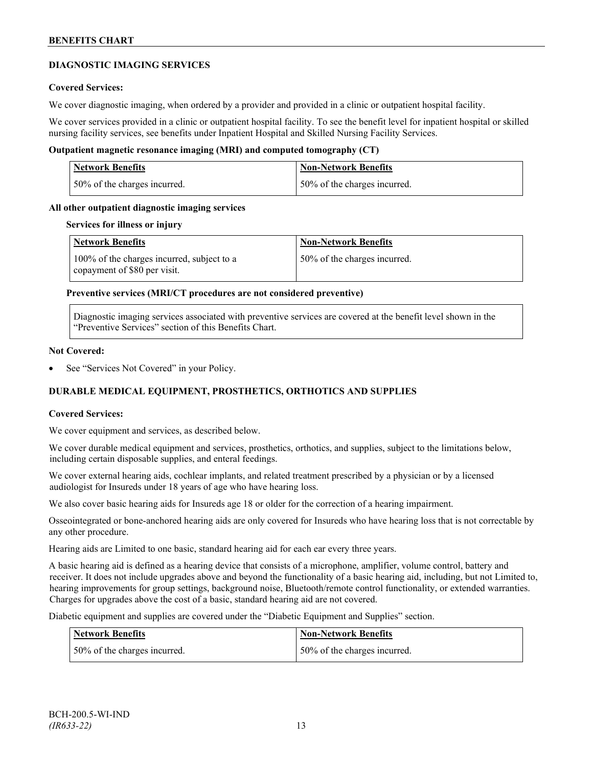## **DIAGNOSTIC IMAGING SERVICES**

## **Covered Services:**

We cover diagnostic imaging, when ordered by a provider and provided in a clinic or outpatient hospital facility.

We cover services provided in a clinic or outpatient hospital facility. To see the benefit level for inpatient hospital or skilled nursing facility services, see benefits under Inpatient Hospital and Skilled Nursing Facility Services.

## **Outpatient magnetic resonance imaging (MRI) and computed tomography (CT)**

| Network Benefits             | Non-Network Benefits         |
|------------------------------|------------------------------|
| 50% of the charges incurred. | 50% of the charges incurred. |

### **All other outpatient diagnostic imaging services**

#### **Services for illness or injury**

| <b>Network Benefits</b>                                                    | <b>Non-Network Benefits</b>  |
|----------------------------------------------------------------------------|------------------------------|
| 100% of the charges incurred, subject to a<br>copayment of \$80 per visit. | 50% of the charges incurred. |

### **Preventive services (MRI/CT procedures are not considered preventive)**

Diagnostic imaging services associated with preventive services are covered at the benefit level shown in the "Preventive Services" section of this Benefits Chart.

#### **Not Covered:**

See "Services Not Covered" in your Policy.

## **DURABLE MEDICAL EQUIPMENT, PROSTHETICS, ORTHOTICS AND SUPPLIES**

#### **Covered Services:**

We cover equipment and services, as described below.

We cover durable medical equipment and services, prosthetics, orthotics, and supplies, subject to the limitations below, including certain disposable supplies, and enteral feedings.

We cover external hearing aids, cochlear implants, and related treatment prescribed by a physician or by a licensed audiologist for Insureds under 18 years of age who have hearing loss.

We also cover basic hearing aids for Insureds age 18 or older for the correction of a hearing impairment.

Osseointegrated or bone-anchored hearing aids are only covered for Insureds who have hearing loss that is not correctable by any other procedure.

Hearing aids are Limited to one basic, standard hearing aid for each ear every three years.

A basic hearing aid is defined as a hearing device that consists of a microphone, amplifier, volume control, battery and receiver. It does not include upgrades above and beyond the functionality of a basic hearing aid, including, but not Limited to, hearing improvements for group settings, background noise, Bluetooth/remote control functionality, or extended warranties. Charges for upgrades above the cost of a basic, standard hearing aid are not covered.

Diabetic equipment and supplies are covered under the "Diabetic Equipment and Supplies" section.

| <b>Network Benefits</b>      | <b>Non-Network Benefits</b>  |
|------------------------------|------------------------------|
| 50% of the charges incurred. | 50% of the charges incurred. |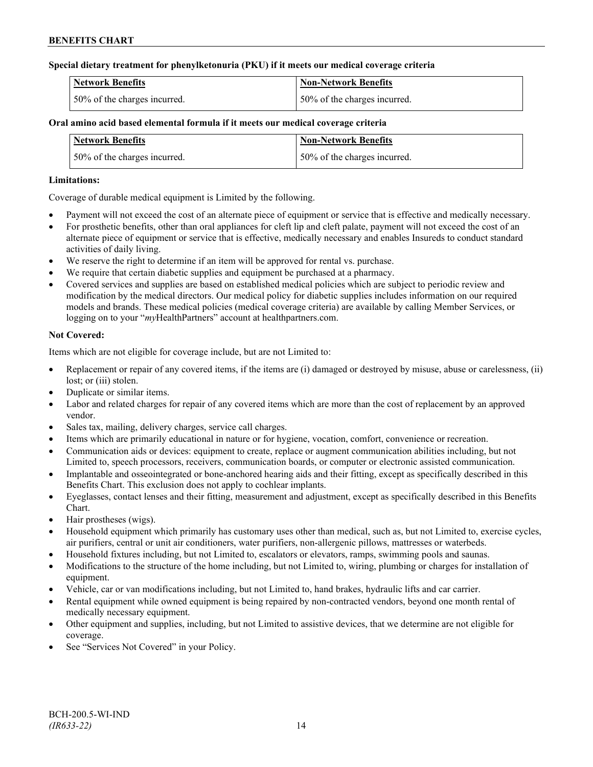## **Special dietary treatment for phenylketonuria (PKU) if it meets our medical coverage criteria**

| <b>Network Benefits</b>       | Non-Network Benefits         |
|-------------------------------|------------------------------|
| 150% of the charges incurred. | 50% of the charges incurred. |

## **Oral amino acid based elemental formula if it meets our medical coverage criteria**

| <b>Network Benefits</b>      | <b>Non-Network Benefits</b>  |
|------------------------------|------------------------------|
| 50% of the charges incurred. | 50% of the charges incurred. |

## **Limitations:**

Coverage of durable medical equipment is Limited by the following.

- Payment will not exceed the cost of an alternate piece of equipment or service that is effective and medically necessary.
- For prosthetic benefits, other than oral appliances for cleft lip and cleft palate, payment will not exceed the cost of an alternate piece of equipment or service that is effective, medically necessary and enables Insureds to conduct standard activities of daily living.
- We reserve the right to determine if an item will be approved for rental vs. purchase.
- We require that certain diabetic supplies and equipment be purchased at a pharmacy.
- Covered services and supplies are based on established medical policies which are subject to periodic review and modification by the medical directors. Our medical policy for diabetic supplies includes information on our required models and brands. These medical policies (medical coverage criteria) are available by calling Member Services, or logging on to your "*my*HealthPartners" account at [healthpartners.com.](http://www.healthpartners.com/)

## **Not Covered:**

Items which are not eligible for coverage include, but are not Limited to:

- Replacement or repair of any covered items, if the items are (i) damaged or destroyed by misuse, abuse or carelessness, (ii) lost; or *(iii)* stolen.
- Duplicate or similar items.
- Labor and related charges for repair of any covered items which are more than the cost of replacement by an approved vendor.
- Sales tax, mailing, delivery charges, service call charges.
- Items which are primarily educational in nature or for hygiene, vocation, comfort, convenience or recreation.
- Communication aids or devices: equipment to create, replace or augment communication abilities including, but not Limited to, speech processors, receivers, communication boards, or computer or electronic assisted communication.
- Implantable and osseointegrated or bone-anchored hearing aids and their fitting, except as specifically described in this Benefits Chart. This exclusion does not apply to cochlear implants.
- Eyeglasses, contact lenses and their fitting, measurement and adjustment, except as specifically described in this Benefits Chart.
- Hair prostheses (wigs).
- Household equipment which primarily has customary uses other than medical, such as, but not Limited to, exercise cycles, air purifiers, central or unit air conditioners, water purifiers, non-allergenic pillows, mattresses or waterbeds.
- Household fixtures including, but not Limited to, escalators or elevators, ramps, swimming pools and saunas.
- Modifications to the structure of the home including, but not Limited to, wiring, plumbing or charges for installation of equipment.
- Vehicle, car or van modifications including, but not Limited to, hand brakes, hydraulic lifts and car carrier.
- Rental equipment while owned equipment is being repaired by non-contracted vendors, beyond one month rental of medically necessary equipment.
- Other equipment and supplies, including, but not Limited to assistive devices, that we determine are not eligible for coverage.
- See "Services Not Covered" in your Policy.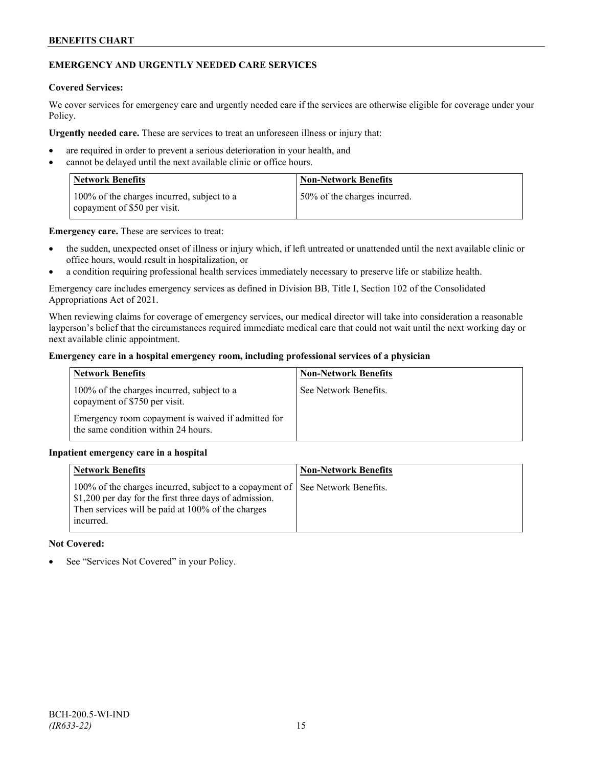## **EMERGENCY AND URGENTLY NEEDED CARE SERVICES**

### **Covered Services:**

We cover services for emergency care and urgently needed care if the services are otherwise eligible for coverage under your Policy.

**Urgently needed care.** These are services to treat an unforeseen illness or injury that:

- are required in order to prevent a serious deterioration in your health, and
- cannot be delayed until the next available clinic or office hours.

| <b>Network Benefits</b>                                                    | <b>Non-Network Benefits</b>  |
|----------------------------------------------------------------------------|------------------------------|
| 100% of the charges incurred, subject to a<br>copayment of \$50 per visit. | 50% of the charges incurred. |

**Emergency care.** These are services to treat:

- the sudden, unexpected onset of illness or injury which, if left untreated or unattended until the next available clinic or office hours, would result in hospitalization, or
- a condition requiring professional health services immediately necessary to preserve life or stabilize health.

Emergency care includes emergency services as defined in Division BB, Title I, Section 102 of the Consolidated Appropriations Act of 2021.

When reviewing claims for coverage of emergency services, our medical director will take into consideration a reasonable layperson's belief that the circumstances required immediate medical care that could not wait until the next working day or next available clinic appointment.

## **Emergency care in a hospital emergency room, including professional services of a physician**

| <b>Network Benefits</b>                                                                   | <b>Non-Network Benefits</b> |
|-------------------------------------------------------------------------------------------|-----------------------------|
| 100% of the charges incurred, subject to a<br>copayment of \$750 per visit.               | See Network Benefits.       |
| Emergency room copayment is waived if admitted for<br>the same condition within 24 hours. |                             |

## **Inpatient emergency care in a hospital**

| <b>Network Benefits</b>                                                                                                                                                               | <b>Non-Network Benefits</b> |
|---------------------------------------------------------------------------------------------------------------------------------------------------------------------------------------|-----------------------------|
| 100% of the charges incurred, subject to a copayment of  <br>\$1,200 per day for the first three days of admission.<br>Then services will be paid at 100% of the charges<br>incurred. | See Network Benefits.       |

## **Not Covered:**

See "Services Not Covered" in your Policy.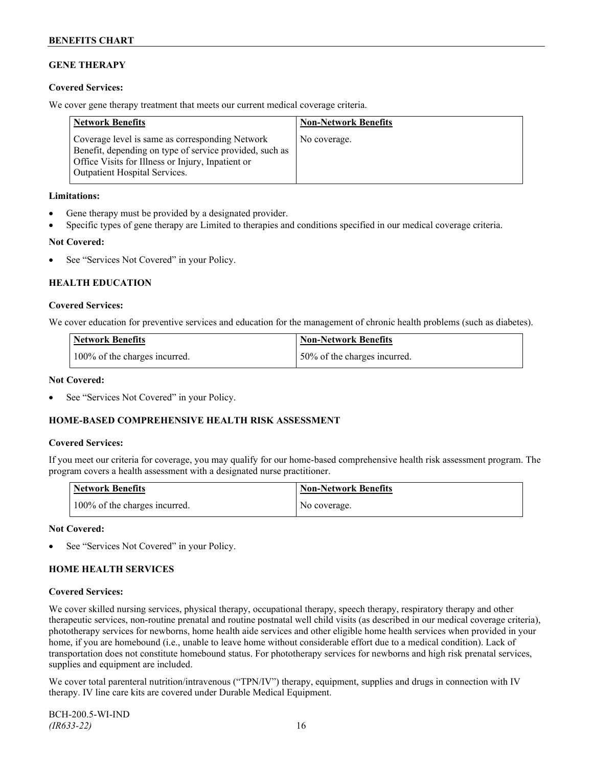## **GENE THERAPY**

## **Covered Services:**

We cover gene therapy treatment that meets our current medical coverage criteria.

| <b>Network Benefits</b>                                                                                                                                                                                 | <b>Non-Network Benefits</b> |
|---------------------------------------------------------------------------------------------------------------------------------------------------------------------------------------------------------|-----------------------------|
| Coverage level is same as corresponding Network<br>Benefit, depending on type of service provided, such as<br>Office Visits for Illness or Injury, Inpatient or<br><b>Outpatient Hospital Services.</b> | No coverage.                |

## **Limitations:**

- Gene therapy must be provided by a designated provider.
- Specific types of gene therapy are Limited to therapies and conditions specified in our medical coverage criteria.

### **Not Covered:**

See "Services Not Covered" in your Policy.

## **HEALTH EDUCATION**

### **Covered Services:**

We cover education for preventive services and education for the management of chronic health problems (such as diabetes).

| <b>Network Benefits</b>       | Non-Network Benefits         |
|-------------------------------|------------------------------|
| 100% of the charges incurred. | 50% of the charges incurred. |

### **Not Covered:**

See "Services Not Covered" in your Policy.

## **HOME-BASED COMPREHENSIVE HEALTH RISK ASSESSMENT**

#### **Covered Services:**

If you meet our criteria for coverage, you may qualify for our home-based comprehensive health risk assessment program. The program covers a health assessment with a designated nurse practitioner.

| <b>Network Benefits</b>       | <b>Non-Network Benefits</b> |
|-------------------------------|-----------------------------|
| 100% of the charges incurred. | No coverage.                |

#### **Not Covered:**

See "Services Not Covered" in your Policy.

## **HOME HEALTH SERVICES**

## **Covered Services:**

We cover skilled nursing services, physical therapy, occupational therapy, speech therapy, respiratory therapy and other therapeutic services, non-routine prenatal and routine postnatal well child visits (as described in our medical coverage criteria), phototherapy services for newborns, home health aide services and other eligible home health services when provided in your home, if you are homebound (i.e., unable to leave home without considerable effort due to a medical condition). Lack of transportation does not constitute homebound status. For phototherapy services for newborns and high risk prenatal services, supplies and equipment are included.

We cover total parenteral nutrition/intravenous ("TPN/IV") therapy, equipment, supplies and drugs in connection with IV therapy. IV line care kits are covered under Durable Medical Equipment.

BCH-200.5-WI-IND *(IR633-22)* 16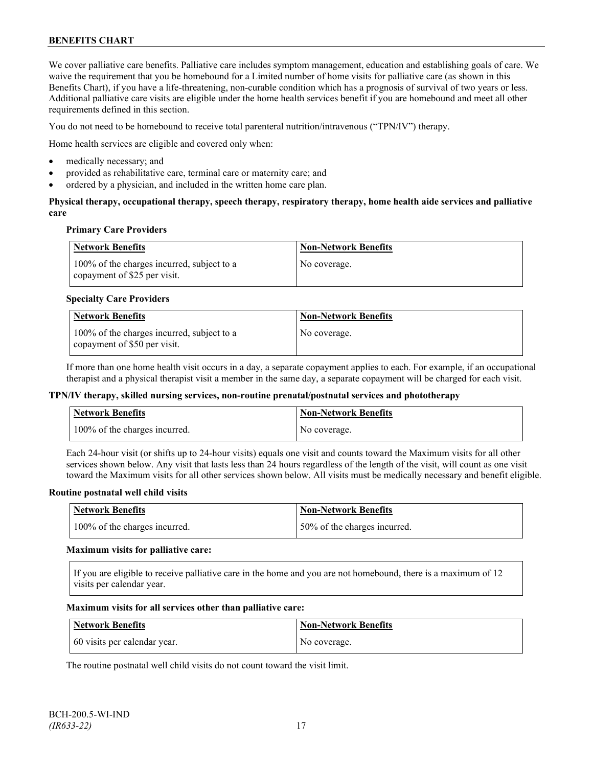We cover palliative care benefits. Palliative care includes symptom management, education and establishing goals of care. We waive the requirement that you be homebound for a Limited number of home visits for palliative care (as shown in this Benefits Chart), if you have a life-threatening, non-curable condition which has a prognosis of survival of two years or less. Additional palliative care visits are eligible under the home health services benefit if you are homebound and meet all other requirements defined in this section.

You do not need to be homebound to receive total parenteral nutrition/intravenous ("TPN/IV") therapy.

Home health services are eligible and covered only when:

- medically necessary; and
- provided as rehabilitative care, terminal care or maternity care; and
- ordered by a physician, and included in the written home care plan.

## **Physical therapy, occupational therapy, speech therapy, respiratory therapy, home health aide services and palliative care**

### **Primary Care Providers**

| Network Benefits                                                           | <b>Non-Network Benefits</b> |
|----------------------------------------------------------------------------|-----------------------------|
| 100% of the charges incurred, subject to a<br>copayment of \$25 per visit. | No coverage.                |

### **Specialty Care Providers**

| Network Benefits                                                           | <b>Non-Network Benefits</b> |
|----------------------------------------------------------------------------|-----------------------------|
| 100% of the charges incurred, subject to a<br>copayment of \$50 per visit. | No coverage.                |

If more than one home health visit occurs in a day, a separate copayment applies to each. For example, if an occupational therapist and a physical therapist visit a member in the same day, a separate copayment will be charged for each visit.

#### **TPN/IV therapy, skilled nursing services, non-routine prenatal/postnatal services and phototherapy**

| <b>Network Benefits</b>       | <b>Non-Network Benefits</b> |
|-------------------------------|-----------------------------|
| 100% of the charges incurred. | No coverage.                |

Each 24-hour visit (or shifts up to 24-hour visits) equals one visit and counts toward the Maximum visits for all other services shown below. Any visit that lasts less than 24 hours regardless of the length of the visit, will count as one visit toward the Maximum visits for all other services shown below. All visits must be medically necessary and benefit eligible.

#### **Routine postnatal well child visits**

| Network Benefits              | <b>Non-Network Benefits</b>  |
|-------------------------------|------------------------------|
| 100% of the charges incurred. | 50% of the charges incurred. |

#### **Maximum visits for palliative care:**

If you are eligible to receive palliative care in the home and you are not homebound, there is a maximum of 12 visits per calendar year.

#### **Maximum visits for all services other than palliative care:**

| Network Benefits             | Non-Network Benefits |
|------------------------------|----------------------|
| 60 visits per calendar year. | No coverage.         |

The routine postnatal well child visits do not count toward the visit limit.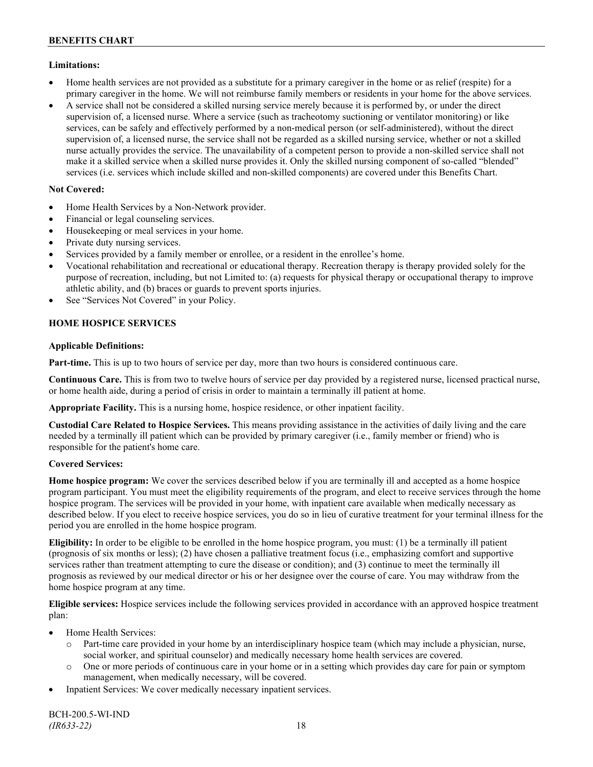## **Limitations:**

- Home health services are not provided as a substitute for a primary caregiver in the home or as relief (respite) for a primary caregiver in the home. We will not reimburse family members or residents in your home for the above services.
- A service shall not be considered a skilled nursing service merely because it is performed by, or under the direct supervision of, a licensed nurse. Where a service (such as tracheotomy suctioning or ventilator monitoring) or like services, can be safely and effectively performed by a non-medical person (or self-administered), without the direct supervision of, a licensed nurse, the service shall not be regarded as a skilled nursing service, whether or not a skilled nurse actually provides the service. The unavailability of a competent person to provide a non-skilled service shall not make it a skilled service when a skilled nurse provides it. Only the skilled nursing component of so-called "blended" services (i.e. services which include skilled and non-skilled components) are covered under this Benefits Chart.

## **Not Covered:**

- Home Health Services by a Non-Network provider.
- Financial or legal counseling services.
- Housekeeping or meal services in your home.
- Private duty nursing services.
- Services provided by a family member or enrollee, or a resident in the enrollee's home.
- Vocational rehabilitation and recreational or educational therapy. Recreation therapy is therapy provided solely for the purpose of recreation, including, but not Limited to: (a) requests for physical therapy or occupational therapy to improve athletic ability, and (b) braces or guards to prevent sports injuries.
- See "Services Not Covered" in your Policy.

## **HOME HOSPICE SERVICES**

## **Applicable Definitions:**

**Part-time.** This is up to two hours of service per day, more than two hours is considered continuous care.

**Continuous Care.** This is from two to twelve hours of service per day provided by a registered nurse, licensed practical nurse, or home health aide, during a period of crisis in order to maintain a terminally ill patient at home.

**Appropriate Facility.** This is a nursing home, hospice residence, or other inpatient facility.

**Custodial Care Related to Hospice Services.** This means providing assistance in the activities of daily living and the care needed by a terminally ill patient which can be provided by primary caregiver (i.e., family member or friend) who is responsible for the patient's home care.

## **Covered Services:**

**Home hospice program:** We cover the services described below if you are terminally ill and accepted as a home hospice program participant. You must meet the eligibility requirements of the program, and elect to receive services through the home hospice program. The services will be provided in your home, with inpatient care available when medically necessary as described below. If you elect to receive hospice services, you do so in lieu of curative treatment for your terminal illness for the period you are enrolled in the home hospice program.

**Eligibility:** In order to be eligible to be enrolled in the home hospice program, you must: (1) be a terminally ill patient (prognosis of six months or less); (2) have chosen a palliative treatment focus (i.e., emphasizing comfort and supportive services rather than treatment attempting to cure the disease or condition); and (3) continue to meet the terminally ill prognosis as reviewed by our medical director or his or her designee over the course of care. You may withdraw from the home hospice program at any time.

**Eligible services:** Hospice services include the following services provided in accordance with an approved hospice treatment plan:

- Home Health Services:
	- o Part-time care provided in your home by an interdisciplinary hospice team (which may include a physician, nurse, social worker, and spiritual counselor) and medically necessary home health services are covered.
	- o One or more periods of continuous care in your home or in a setting which provides day care for pain or symptom management, when medically necessary, will be covered.
- Inpatient Services: We cover medically necessary inpatient services.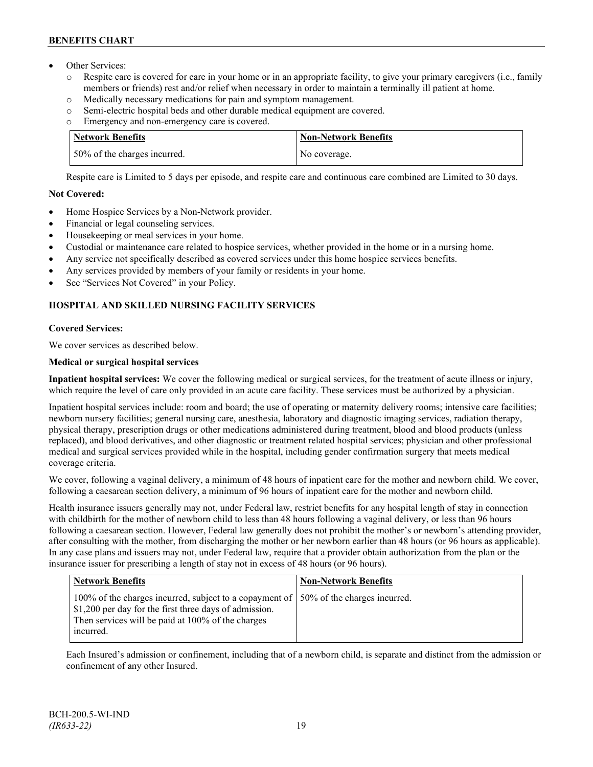- Other Services:
	- o Respite care is covered for care in your home or in an appropriate facility, to give your primary caregivers (i.e., family members or friends) rest and/or relief when necessary in order to maintain a terminally ill patient at home*.*
	- o Medically necessary medications for pain and symptom management.
	- o Semi-electric hospital beds and other durable medical equipment are covered.
	- o Emergency and non-emergency care is covered.

| Network Benefits             | <b>Non-Network Benefits</b> |
|------------------------------|-----------------------------|
| 50% of the charges incurred. | No coverage.                |

Respite care is Limited to 5 days per episode, and respite care and continuous care combined are Limited to 30 days.

## **Not Covered:**

- Home Hospice Services by a Non-Network provider.
- Financial or legal counseling services.
- Housekeeping or meal services in your home.
- Custodial or maintenance care related to hospice services, whether provided in the home or in a nursing home.
- Any service not specifically described as covered services under this home hospice services benefits.
- Any services provided by members of your family or residents in your home.
- See "Services Not Covered" in your Policy.

## **HOSPITAL AND SKILLED NURSING FACILITY SERVICES**

## **Covered Services:**

We cover services as described below.

## **Medical or surgical hospital services**

**Inpatient hospital services:** We cover the following medical or surgical services, for the treatment of acute illness or injury, which require the level of care only provided in an acute care facility. These services must be authorized by a physician.

Inpatient hospital services include: room and board; the use of operating or maternity delivery rooms; intensive care facilities; newborn nursery facilities; general nursing care, anesthesia, laboratory and diagnostic imaging services, radiation therapy, physical therapy, prescription drugs or other medications administered during treatment, blood and blood products (unless replaced), and blood derivatives, and other diagnostic or treatment related hospital services; physician and other professional medical and surgical services provided while in the hospital, including gender confirmation surgery that meets medical coverage criteria.

We cover, following a vaginal delivery, a minimum of 48 hours of inpatient care for the mother and newborn child. We cover, following a caesarean section delivery, a minimum of 96 hours of inpatient care for the mother and newborn child.

Health insurance issuers generally may not, under Federal law, restrict benefits for any hospital length of stay in connection with childbirth for the mother of newborn child to less than 48 hours following a vaginal delivery, or less than 96 hours following a caesarean section. However, Federal law generally does not prohibit the mother's or newborn's attending provider, after consulting with the mother, from discharging the mother or her newborn earlier than 48 hours (or 96 hours as applicable). In any case plans and issuers may not, under Federal law, require that a provider obtain authorization from the plan or the insurance issuer for prescribing a length of stay not in excess of 48 hours (or 96 hours).

| <b>Network Benefits</b>                                                                                                                                                                                            | <b>Non-Network Benefits</b> |
|--------------------------------------------------------------------------------------------------------------------------------------------------------------------------------------------------------------------|-----------------------------|
| 100% of the charges incurred, subject to a copayment of   50% of the charges incurred.<br>\$1,200 per day for the first three days of admission.<br>Then services will be paid at 100% of the charges<br>incurred. |                             |

Each Insured's admission or confinement, including that of a newborn child, is separate and distinct from the admission or confinement of any other Insured.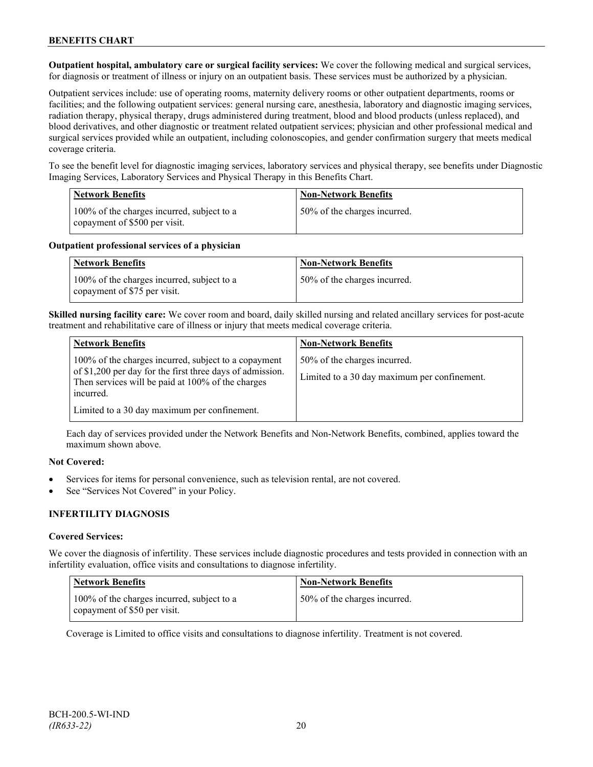**Outpatient hospital, ambulatory care or surgical facility services:** We cover the following medical and surgical services, for diagnosis or treatment of illness or injury on an outpatient basis. These services must be authorized by a physician.

Outpatient services include: use of operating rooms, maternity delivery rooms or other outpatient departments, rooms or facilities; and the following outpatient services: general nursing care, anesthesia, laboratory and diagnostic imaging services, radiation therapy, physical therapy, drugs administered during treatment, blood and blood products (unless replaced), and blood derivatives, and other diagnostic or treatment related outpatient services; physician and other professional medical and surgical services provided while an outpatient, including colonoscopies, and gender confirmation surgery that meets medical coverage criteria.

To see the benefit level for diagnostic imaging services, laboratory services and physical therapy, see benefits under Diagnostic Imaging Services, Laboratory Services and Physical Therapy in this Benefits Chart.

| <b>Network Benefits</b>                                                     | <b>Non-Network Benefits</b>  |
|-----------------------------------------------------------------------------|------------------------------|
| 100% of the charges incurred, subject to a<br>copayment of \$500 per visit. | 50% of the charges incurred. |

### **Outpatient professional services of a physician**

| <b>Network Benefits</b>                                                    | <b>Non-Network Benefits</b>  |
|----------------------------------------------------------------------------|------------------------------|
| 100% of the charges incurred, subject to a<br>copayment of \$75 per visit. | 50% of the charges incurred. |

**Skilled nursing facility care:** We cover room and board, daily skilled nursing and related ancillary services for post-acute treatment and rehabilitative care of illness or injury that meets medical coverage criteria.

| <b>Network Benefits</b>                                                                                                     | <b>Non-Network Benefits</b>                  |
|-----------------------------------------------------------------------------------------------------------------------------|----------------------------------------------|
| 100% of the charges incurred, subject to a copayment                                                                        | 50% of the charges incurred.                 |
| of \$1,200 per day for the first three days of admission.<br>Then services will be paid at 100% of the charges<br>incurred. | Limited to a 30 day maximum per confinement. |
| Limited to a 30 day maximum per confinement.                                                                                |                                              |

Each day of services provided under the Network Benefits and Non-Network Benefits, combined, applies toward the maximum shown above.

## **Not Covered:**

- Services for items for personal convenience, such as television rental, are not covered.
- See "Services Not Covered" in your Policy.

## **INFERTILITY DIAGNOSIS**

## **Covered Services:**

We cover the diagnosis of infertility. These services include diagnostic procedures and tests provided in connection with an infertility evaluation, office visits and consultations to diagnose infertility.

| <b>Network Benefits</b>                                                    | <b>Non-Network Benefits</b>  |
|----------------------------------------------------------------------------|------------------------------|
| 100% of the charges incurred, subject to a<br>copayment of \$50 per visit. | 50% of the charges incurred. |

Coverage is Limited to office visits and consultations to diagnose infertility. Treatment is not covered.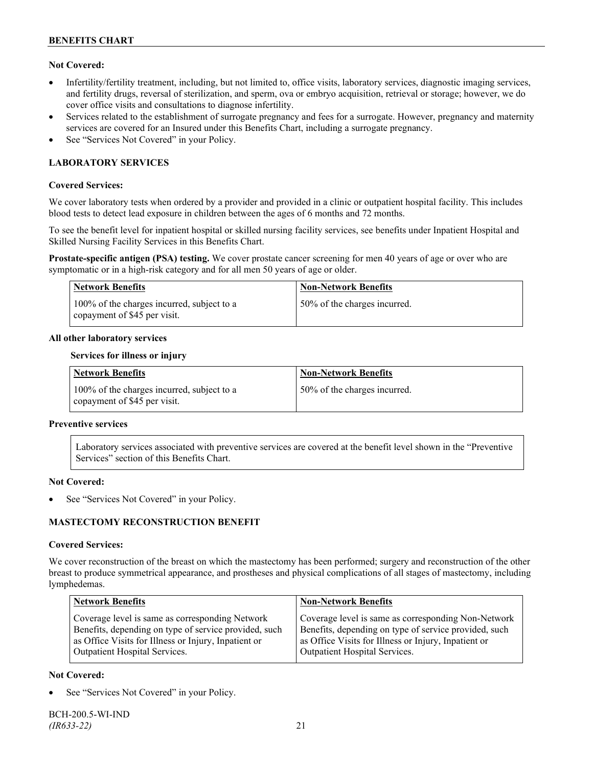## **Not Covered:**

- Infertility/fertility treatment, including, but not limited to, office visits, laboratory services, diagnostic imaging services, and fertility drugs, reversal of sterilization, and sperm, ova or embryo acquisition, retrieval or storage; however, we do cover office visits and consultations to diagnose infertility.
- Services related to the establishment of surrogate pregnancy and fees for a surrogate. However, pregnancy and maternity services are covered for an Insured under this Benefits Chart, including a surrogate pregnancy.
- See "Services Not Covered" in your Policy.

## **LABORATORY SERVICES**

### **Covered Services:**

We cover laboratory tests when ordered by a provider and provided in a clinic or outpatient hospital facility. This includes blood tests to detect lead exposure in children between the ages of 6 months and 72 months.

To see the benefit level for inpatient hospital or skilled nursing facility services, see benefits under Inpatient Hospital and Skilled Nursing Facility Services in this Benefits Chart.

**Prostate-specific antigen (PSA) testing.** We cover prostate cancer screening for men 40 years of age or over who are symptomatic or in a high-risk category and for all men 50 years of age or older.

| <b>Network Benefits</b>                                                    | <b>Non-Network Benefits</b>  |
|----------------------------------------------------------------------------|------------------------------|
| 100% of the charges incurred, subject to a<br>copayment of \$45 per visit. | 50% of the charges incurred. |

### **All other laboratory services**

#### **Services for illness or injury**

| <b>Network Benefits</b>                                                    | <b>Non-Network Benefits</b>  |
|----------------------------------------------------------------------------|------------------------------|
| 100% of the charges incurred, subject to a<br>copayment of \$45 per visit. | 50% of the charges incurred. |

#### **Preventive services**

Laboratory services associated with preventive services are covered at the benefit level shown in the "Preventive Services" section of this Benefits Chart.

#### **Not Covered:**

See "Services Not Covered" in your Policy.

## **MASTECTOMY RECONSTRUCTION BENEFIT**

#### **Covered Services:**

We cover reconstruction of the breast on which the mastectomy has been performed; surgery and reconstruction of the other breast to produce symmetrical appearance, and prostheses and physical complications of all stages of mastectomy, including lymphedemas.

| <b>Network Benefits</b>                               | <b>Non-Network Benefits</b>                           |
|-------------------------------------------------------|-------------------------------------------------------|
| Coverage level is same as corresponding Network       | Coverage level is same as corresponding Non-Network   |
| Benefits, depending on type of service provided, such | Benefits, depending on type of service provided, such |
| as Office Visits for Illness or Injury, Inpatient or  | as Office Visits for Illness or Injury, Inpatient or  |
| Outpatient Hospital Services.                         | Outpatient Hospital Services.                         |

## **Not Covered:**

See "Services Not Covered" in your Policy.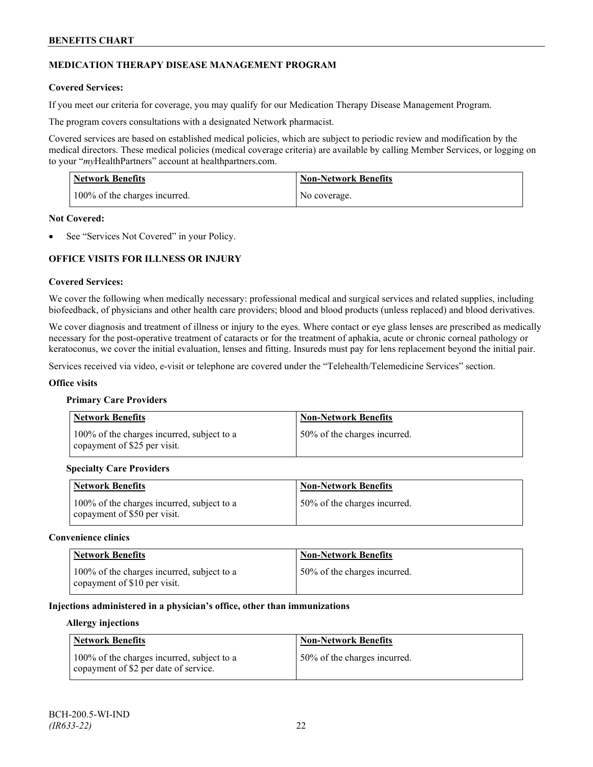## **MEDICATION THERAPY DISEASE MANAGEMENT PROGRAM**

## **Covered Services:**

If you meet our criteria for coverage, you may qualify for our Medication Therapy Disease Management Program.

The program covers consultations with a designated Network pharmacist.

Covered services are based on established medical policies, which are subject to periodic review and modification by the medical directors. These medical policies (medical coverage criteria) are available by calling Member Services, or logging on to your "*my*HealthPartners" account at [healthpartners.com.](http://www.healthpartners.com/)

| <b>Network Benefits</b>       | <b>Non-Network Benefits</b> |
|-------------------------------|-----------------------------|
| 100% of the charges incurred. | No coverage.                |

### **Not Covered:**

See "Services Not Covered" in your Policy.

## **OFFICE VISITS FOR ILLNESS OR INJURY**

### **Covered Services:**

We cover the following when medically necessary: professional medical and surgical services and related supplies, including biofeedback, of physicians and other health care providers; blood and blood products (unless replaced) and blood derivatives.

We cover diagnosis and treatment of illness or injury to the eyes. Where contact or eye glass lenses are prescribed as medically necessary for the post-operative treatment of cataracts or for the treatment of aphakia, acute or chronic corneal pathology or keratoconus, we cover the initial evaluation, lenses and fitting. Insureds must pay for lens replacement beyond the initial pair.

Services received via video, e-visit or telephone are covered under the "Telehealth/Telemedicine Services" section.

#### **Office visits**

#### **Primary Care Providers**

| <b>Network Benefits</b>                                                    | <b>Non-Network Benefits</b>  |
|----------------------------------------------------------------------------|------------------------------|
| 100% of the charges incurred, subject to a<br>copayment of \$25 per visit. | 50% of the charges incurred. |

#### **Specialty Care Providers**

| <b>Network Benefits</b>                                                    | <b>Non-Network Benefits</b>  |
|----------------------------------------------------------------------------|------------------------------|
| 100% of the charges incurred, subject to a<br>copayment of \$50 per visit. | 50% of the charges incurred. |

#### **Convenience clinics**

| <b>Network Benefits</b>                                                    | <b>Non-Network Benefits</b>  |
|----------------------------------------------------------------------------|------------------------------|
| 100% of the charges incurred, subject to a<br>copayment of \$10 per visit. | 50% of the charges incurred. |

### **Injections administered in a physician's office, other than immunizations**

#### **Allergy injections**

| <b>Network Benefits</b>                                                             | Non-Network Benefits         |
|-------------------------------------------------------------------------------------|------------------------------|
| 100% of the charges incurred, subject to a<br>copayment of \$2 per date of service. | 50% of the charges incurred. |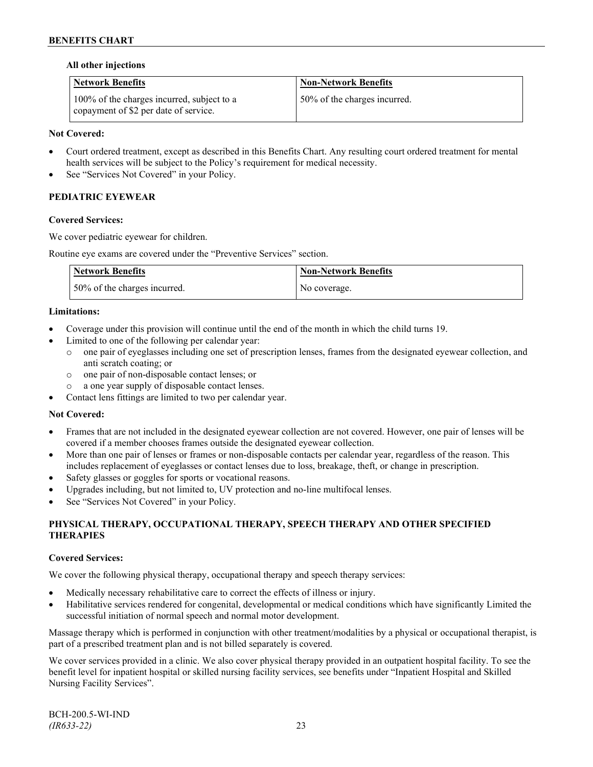## **All other injections**

| <b>Network Benefits</b>                                                             | <b>Non-Network Benefits</b>  |
|-------------------------------------------------------------------------------------|------------------------------|
| 100% of the charges incurred, subject to a<br>copayment of \$2 per date of service. | 50% of the charges incurred. |

## **Not Covered:**

- Court ordered treatment, except as described in this Benefits Chart. Any resulting court ordered treatment for mental health services will be subject to the Policy's requirement for medical necessity.
- See "Services Not Covered" in your Policy.

## **PEDIATRIC EYEWEAR**

### **Covered Services:**

We cover pediatric eyewear for children.

Routine eye exams are covered under the "Preventive Services" section.

| <b>Network Benefits</b>      | Non-Network Benefits |
|------------------------------|----------------------|
| 50% of the charges incurred. | No coverage.         |

### **Limitations:**

- Coverage under this provision will continue until the end of the month in which the child turns 19.
- Limited to one of the following per calendar year:
	- o one pair of eyeglasses including one set of prescription lenses, frames from the designated eyewear collection, and anti scratch coating; or
	- o one pair of non-disposable contact lenses; or
	- a one year supply of disposable contact lenses.
- Contact lens fittings are limited to two per calendar year.

#### **Not Covered:**

- Frames that are not included in the designated eyewear collection are not covered. However, one pair of lenses will be covered if a member chooses frames outside the designated eyewear collection.
- More than one pair of lenses or frames or non-disposable contacts per calendar year, regardless of the reason. This includes replacement of eyeglasses or contact lenses due to loss, breakage, theft, or change in prescription.
- Safety glasses or goggles for sports or vocational reasons.
- Upgrades including, but not limited to, UV protection and no-line multifocal lenses.
- See "Services Not Covered" in your Policy.

## **PHYSICAL THERAPY, OCCUPATIONAL THERAPY, SPEECH THERAPY AND OTHER SPECIFIED THERAPIES**

## **Covered Services:**

We cover the following physical therapy, occupational therapy and speech therapy services:

- Medically necessary rehabilitative care to correct the effects of illness or injury.
- Habilitative services rendered for congenital, developmental or medical conditions which have significantly Limited the successful initiation of normal speech and normal motor development.

Massage therapy which is performed in conjunction with other treatment/modalities by a physical or occupational therapist, is part of a prescribed treatment plan and is not billed separately is covered.

We cover services provided in a clinic. We also cover physical therapy provided in an outpatient hospital facility. To see the benefit level for inpatient hospital or skilled nursing facility services, see benefits under "Inpatient Hospital and Skilled Nursing Facility Services".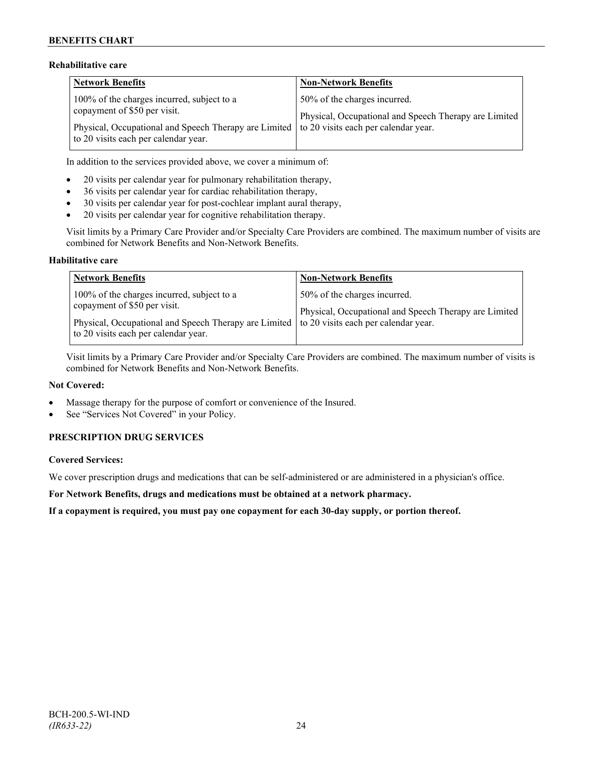## **Rehabilitative care**

| <b>Network Benefits</b>                                                                    | <b>Non-Network Benefits</b>                           |
|--------------------------------------------------------------------------------------------|-------------------------------------------------------|
| 100% of the charges incurred, subject to a                                                 | 50% of the charges incurred.                          |
| copayment of \$50 per visit.                                                               | Physical, Occupational and Speech Therapy are Limited |
| Physical, Occupational and Speech Therapy are Limited to 20 visits each per calendar year. |                                                       |
| to 20 visits each per calendar year.                                                       |                                                       |

In addition to the services provided above, we cover a minimum of:

- 20 visits per calendar year for pulmonary rehabilitation therapy,
- 36 visits per calendar year for cardiac rehabilitation therapy,
- 30 visits per calendar year for post-cochlear implant aural therapy,
- 20 visits per calendar year for cognitive rehabilitation therapy.

Visit limits by a Primary Care Provider and/or Specialty Care Providers are combined. The maximum number of visits are combined for Network Benefits and Non-Network Benefits.

### **Habilitative care**

| <b>Network Benefits</b>                                                                                                                                                                                          | <b>Non-Network Benefits</b>                                                           |
|------------------------------------------------------------------------------------------------------------------------------------------------------------------------------------------------------------------|---------------------------------------------------------------------------------------|
| 100% of the charges incurred, subject to a<br>copayment of \$50 per visit.<br>Physical, Occupational and Speech Therapy are Limited to 20 visits each per calendar year.<br>to 20 visits each per calendar year. | 50% of the charges incurred.<br>Physical, Occupational and Speech Therapy are Limited |

Visit limits by a Primary Care Provider and/or Specialty Care Providers are combined. The maximum number of visits is combined for Network Benefits and Non-Network Benefits.

#### **Not Covered:**

- Massage therapy for the purpose of comfort or convenience of the Insured.
- See "Services Not Covered" in your Policy.

## **PRESCRIPTION DRUG SERVICES**

## **Covered Services:**

We cover prescription drugs and medications that can be self-administered or are administered in a physician's office.

**For Network Benefits, drugs and medications must be obtained at a network pharmacy.**

**If a copayment is required, you must pay one copayment for each 30-day supply, or portion thereof.**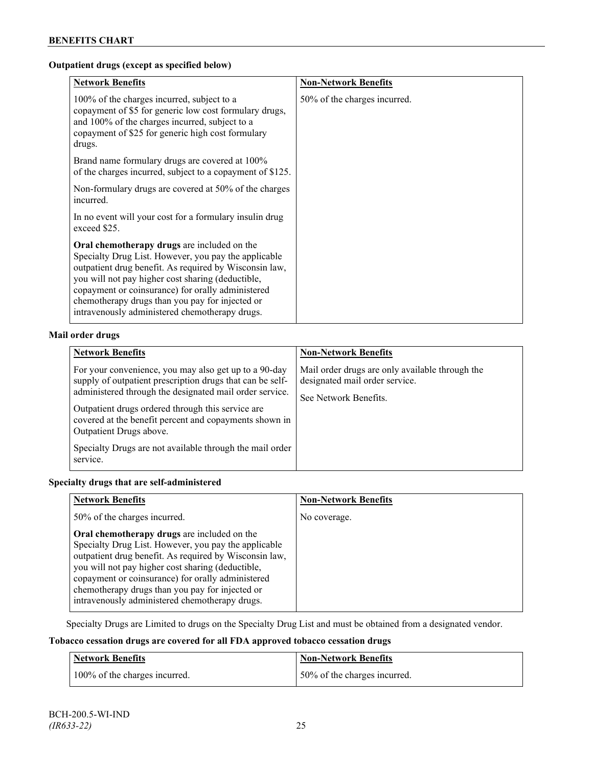## **Outpatient drugs (except as specified below)**

| <b>Network Benefits</b>                                                                                                                                                                                                                                                                                                                                                             | <b>Non-Network Benefits</b>  |
|-------------------------------------------------------------------------------------------------------------------------------------------------------------------------------------------------------------------------------------------------------------------------------------------------------------------------------------------------------------------------------------|------------------------------|
| 100% of the charges incurred, subject to a<br>copayment of \$5 for generic low cost formulary drugs,<br>and 100% of the charges incurred, subject to a<br>copayment of \$25 for generic high cost formulary<br>drugs.                                                                                                                                                               | 50% of the charges incurred. |
| Brand name formulary drugs are covered at 100%<br>of the charges incurred, subject to a copayment of \$125.                                                                                                                                                                                                                                                                         |                              |
| Non-formulary drugs are covered at 50% of the charges<br>incurred.                                                                                                                                                                                                                                                                                                                  |                              |
| In no event will your cost for a formulary insulin drug<br>exceed \$25.                                                                                                                                                                                                                                                                                                             |                              |
| <b>Oral chemotherapy drugs</b> are included on the<br>Specialty Drug List. However, you pay the applicable<br>outpatient drug benefit. As required by Wisconsin law,<br>you will not pay higher cost sharing (deductible,<br>copayment or coinsurance) for orally administered<br>chemotherapy drugs than you pay for injected or<br>intravenously administered chemotherapy drugs. |                              |

## **Mail order drugs**

| <b>Network Benefits</b>                                                                                                                                                                                                                                                                                                                                                                         | <b>Non-Network Benefits</b>                                                                                |
|-------------------------------------------------------------------------------------------------------------------------------------------------------------------------------------------------------------------------------------------------------------------------------------------------------------------------------------------------------------------------------------------------|------------------------------------------------------------------------------------------------------------|
| For your convenience, you may also get up to a 90-day<br>supply of outpatient prescription drugs that can be self-<br>administered through the designated mail order service.<br>Outpatient drugs ordered through this service are<br>covered at the benefit percent and copayments shown in<br>Outpatient Drugs above.<br>Specialty Drugs are not available through the mail order<br>service. | Mail order drugs are only available through the<br>designated mail order service.<br>See Network Benefits. |

## **Specialty drugs that are self-administered**

| <b>Network Benefits</b>                                                                                                                                                                                                                                                                                                                                                      | <b>Non-Network Benefits</b> |
|------------------------------------------------------------------------------------------------------------------------------------------------------------------------------------------------------------------------------------------------------------------------------------------------------------------------------------------------------------------------------|-----------------------------|
| 50% of the charges incurred.                                                                                                                                                                                                                                                                                                                                                 | No coverage.                |
| Oral chemotherapy drugs are included on the<br>Specialty Drug List. However, you pay the applicable<br>outpatient drug benefit. As required by Wisconsin law,<br>you will not pay higher cost sharing (deductible,<br>copayment or coinsurance) for orally administered<br>chemotherapy drugs than you pay for injected or<br>intravenously administered chemotherapy drugs. |                             |

Specialty Drugs are Limited to drugs on the Specialty Drug List and must be obtained from a designated vendor.

## **Tobacco cessation drugs are covered for all FDA approved tobacco cessation drugs**

| <b>Network Benefits</b>       | <b>Non-Network Benefits</b>  |
|-------------------------------|------------------------------|
| 100% of the charges incurred. | 50% of the charges incurred. |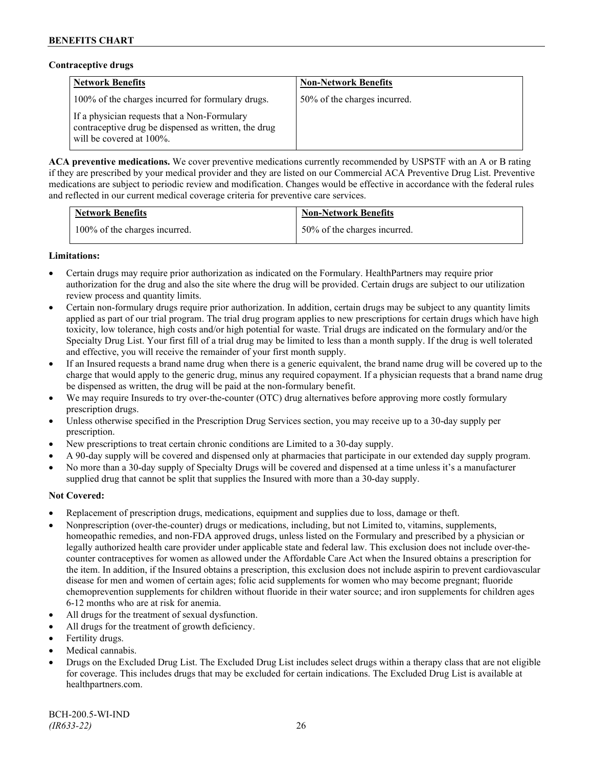### **Contraceptive drugs**

| <b>Network Benefits</b>                                                                                                          | <b>Non-Network Benefits</b>  |
|----------------------------------------------------------------------------------------------------------------------------------|------------------------------|
| 100% of the charges incurred for formulary drugs.                                                                                | 50% of the charges incurred. |
| If a physician requests that a Non-Formulary<br>contraceptive drug be dispensed as written, the drug<br>will be covered at 100%. |                              |

**ACA preventive medications.** We cover preventive medications currently recommended by USPSTF with an A or B rating if they are prescribed by your medical provider and they are listed on our Commercial ACA Preventive Drug List. Preventive medications are subject to periodic review and modification. Changes would be effective in accordance with the federal rules and reflected in our current medical coverage criteria for preventive care services.

| <b>Network Benefits</b>       | <b>Non-Network Benefits</b>  |
|-------------------------------|------------------------------|
| 100% of the charges incurred. | 50% of the charges incurred. |

## **Limitations:**

- Certain drugs may require prior authorization as indicated on the Formulary. HealthPartners may require prior authorization for the drug and also the site where the drug will be provided. Certain drugs are subject to our utilization review process and quantity limits.
- Certain non-formulary drugs require prior authorization. In addition, certain drugs may be subject to any quantity limits applied as part of our trial program. The trial drug program applies to new prescriptions for certain drugs which have high toxicity, low tolerance, high costs and/or high potential for waste. Trial drugs are indicated on the formulary and/or the Specialty Drug List. Your first fill of a trial drug may be limited to less than a month supply. If the drug is well tolerated and effective, you will receive the remainder of your first month supply.
- If an Insured requests a brand name drug when there is a generic equivalent, the brand name drug will be covered up to the charge that would apply to the generic drug, minus any required copayment. If a physician requests that a brand name drug be dispensed as written, the drug will be paid at the non-formulary benefit.
- We may require Insureds to try over-the-counter (OTC) drug alternatives before approving more costly formulary prescription drugs.
- Unless otherwise specified in the Prescription Drug Services section, you may receive up to a 30-day supply per prescription.
- New prescriptions to treat certain chronic conditions are Limited to a 30-day supply.
- A 90-day supply will be covered and dispensed only at pharmacies that participate in our extended day supply program.
- No more than a 30-day supply of Specialty Drugs will be covered and dispensed at a time unless it's a manufacturer supplied drug that cannot be split that supplies the Insured with more than a 30-day supply.

## **Not Covered:**

- Replacement of prescription drugs, medications, equipment and supplies due to loss, damage or theft.
- Nonprescription (over-the-counter) drugs or medications, including, but not Limited to, vitamins, supplements, homeopathic remedies, and non-FDA approved drugs, unless listed on the Formulary and prescribed by a physician or legally authorized health care provider under applicable state and federal law. This exclusion does not include over-thecounter contraceptives for women as allowed under the Affordable Care Act when the Insured obtains a prescription for the item. In addition, if the Insured obtains a prescription, this exclusion does not include aspirin to prevent cardiovascular disease for men and women of certain ages; folic acid supplements for women who may become pregnant; fluoride chemoprevention supplements for children without fluoride in their water source; and iron supplements for children ages 6-12 months who are at risk for anemia.
- All drugs for the treatment of sexual dysfunction.
- All drugs for the treatment of growth deficiency.
- Fertility drugs.
- Medical cannabis.
- Drugs on the Excluded Drug List. The Excluded Drug List includes select drugs within a therapy class that are not eligible for coverage. This includes drugs that may be excluded for certain indications. The Excluded Drug List is available at [healthpartners.com.](http://www.healthpartners.com/)

BCH-200.5-WI-IND *(IR633-22)* 26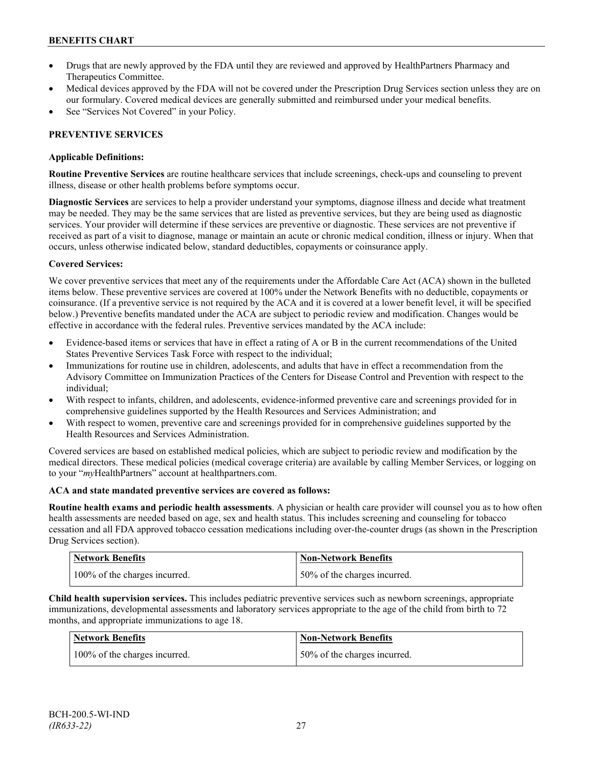- Drugs that are newly approved by the FDA until they are reviewed and approved by HealthPartners Pharmacy and Therapeutics Committee.
- Medical devices approved by the FDA will not be covered under the Prescription Drug Services section unless they are on our formulary. Covered medical devices are generally submitted and reimbursed under your medical benefits.
- See "Services Not Covered" in your Policy.

## **PREVENTIVE SERVICES**

## **Applicable Definitions:**

**Routine Preventive Services** are routine healthcare services that include screenings, check-ups and counseling to prevent illness, disease or other health problems before symptoms occur.

**Diagnostic Services** are services to help a provider understand your symptoms, diagnose illness and decide what treatment may be needed. They may be the same services that are listed as preventive services, but they are being used as diagnostic services. Your provider will determine if these services are preventive or diagnostic. These services are not preventive if received as part of a visit to diagnose, manage or maintain an acute or chronic medical condition, illness or injury. When that occurs, unless otherwise indicated below, standard deductibles, copayments or coinsurance apply.

## **Covered Services:**

We cover preventive services that meet any of the requirements under the Affordable Care Act (ACA) shown in the bulleted items below. These preventive services are covered at 100% under the Network Benefits with no deductible, copayments or coinsurance. (If a preventive service is not required by the ACA and it is covered at a lower benefit level, it will be specified below.) Preventive benefits mandated under the ACA are subject to periodic review and modification. Changes would be effective in accordance with the federal rules. Preventive services mandated by the ACA include:

- Evidence-based items or services that have in effect a rating of A or B in the current recommendations of the United States Preventive Services Task Force with respect to the individual;
- Immunizations for routine use in children, adolescents, and adults that have in effect a recommendation from the Advisory Committee on Immunization Practices of the Centers for Disease Control and Prevention with respect to the individual;
- With respect to infants, children, and adolescents, evidence-informed preventive care and screenings provided for in comprehensive guidelines supported by the Health Resources and Services Administration; and
- With respect to women, preventive care and screenings provided for in comprehensive guidelines supported by the Health Resources and Services Administration.

Covered services are based on established medical policies, which are subject to periodic review and modification by the medical directors. These medical policies (medical coverage criteria) are available by calling Member Services, or logging on to your "*my*HealthPartners" account at [healthpartners.com.](http://www.healthpartners.com/)

## **ACA and state mandated preventive services are covered as follows:**

**Routine health exams and periodic health assessments**. A physician or health care provider will counsel you as to how often health assessments are needed based on age, sex and health status. This includes screening and counseling for tobacco cessation and all FDA approved tobacco cessation medications including over-the-counter drugs (as shown in the Prescription Drug Services section).

| <b>Network Benefits</b>       | Non-Network Benefits         |
|-------------------------------|------------------------------|
| 100% of the charges incurred. | 50% of the charges incurred. |

**Child health supervision services.** This includes pediatric preventive services such as newborn screenings, appropriate immunizations, developmental assessments and laboratory services appropriate to the age of the child from birth to 72 months, and appropriate immunizations to age 18.

| Network Benefits              | <b>Non-Network Benefits</b>  |
|-------------------------------|------------------------------|
| 100% of the charges incurred. | 50% of the charges incurred. |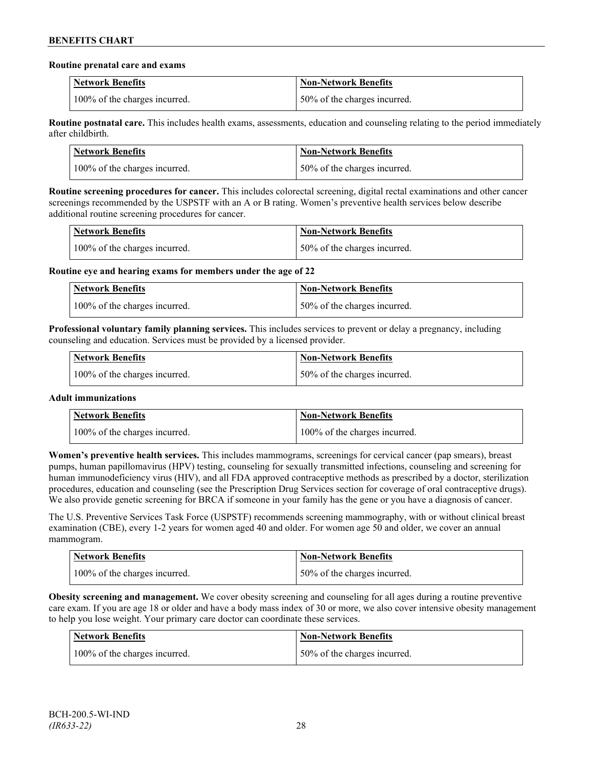### **Routine prenatal care and exams**

| <b>Network Benefits</b>       | <b>Non-Network Benefits</b>  |
|-------------------------------|------------------------------|
| 100% of the charges incurred. | 50% of the charges incurred. |

**Routine postnatal care.** This includes health exams, assessments, education and counseling relating to the period immediately after childbirth.

| <b>Network Benefits</b>       | <b>Non-Network Benefits</b>  |
|-------------------------------|------------------------------|
| 100% of the charges incurred. | 50% of the charges incurred. |

**Routine screening procedures for cancer.** This includes colorectal screening, digital rectal examinations and other cancer screenings recommended by the USPSTF with an A or B rating. Women's preventive health services below describe additional routine screening procedures for cancer.

| Network Benefits              | <b>Non-Network Benefits</b>  |
|-------------------------------|------------------------------|
| 100% of the charges incurred. | 50% of the charges incurred. |

**Routine eye and hearing exams for members under the age of 22**

| <b>Network Benefits</b>       | <b>Non-Network Benefits</b>  |
|-------------------------------|------------------------------|
| 100% of the charges incurred. | 50% of the charges incurred. |

**Professional voluntary family planning services.** This includes services to prevent or delay a pregnancy, including counseling and education. Services must be provided by a licensed provider.

| Network Benefits              | <b>Non-Network Benefits</b>  |
|-------------------------------|------------------------------|
| 100% of the charges incurred. | 50% of the charges incurred. |

## **Adult immunizations**

| <b>Network Benefits</b>       | <b>Non-Network Benefits</b>   |
|-------------------------------|-------------------------------|
| 100% of the charges incurred. | 100% of the charges incurred. |

**Women's preventive health services.** This includes mammograms, screenings for cervical cancer (pap smears), breast pumps, human papillomavirus (HPV) testing, counseling for sexually transmitted infections, counseling and screening for human immunodeficiency virus (HIV), and all FDA approved contraceptive methods as prescribed by a doctor, sterilization procedures, education and counseling (see the Prescription Drug Services section for coverage of oral contraceptive drugs). We also provide genetic screening for BRCA if someone in your family has the gene or you have a diagnosis of cancer.

The U.S. Preventive Services Task Force (USPSTF) recommends screening mammography, with or without clinical breast examination (CBE), every 1-2 years for women aged 40 and older. For women age 50 and older, we cover an annual mammogram.

| <b>Network Benefits</b>       | <b>Non-Network Benefits</b>   |
|-------------------------------|-------------------------------|
| 100% of the charges incurred. | 150% of the charges incurred. |

**Obesity screening and management.** We cover obesity screening and counseling for all ages during a routine preventive care exam. If you are age 18 or older and have a body mass index of 30 or more, we also cover intensive obesity management to help you lose weight. Your primary care doctor can coordinate these services.

| Network Benefits              | <b>Non-Network Benefits</b>  |
|-------------------------------|------------------------------|
| 100% of the charges incurred. | 50% of the charges incurred. |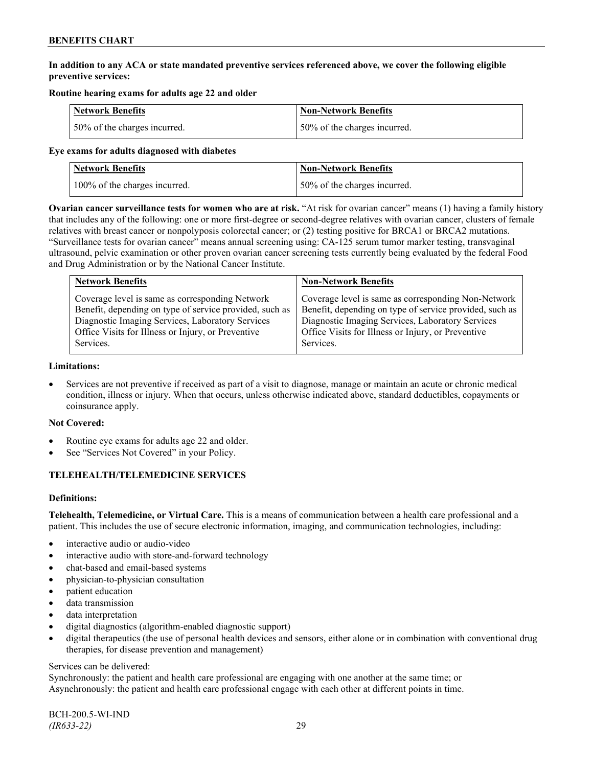## **In addition to any ACA or state mandated preventive services referenced above, we cover the following eligible preventive services:**

## **Routine hearing exams for adults age 22 and older**

| <b>Network Benefits</b>      | <b>Non-Network Benefits</b>  |
|------------------------------|------------------------------|
| 50% of the charges incurred. | 50% of the charges incurred. |

### **Eye exams for adults diagnosed with diabetes**

| <b>Network Benefits</b>       | Non-Network Benefits         |
|-------------------------------|------------------------------|
| 100% of the charges incurred. | 50% of the charges incurred. |

**Ovarian cancer surveillance tests for women who are at risk.** "At risk for ovarian cancer" means (1) having a family history that includes any of the following: one or more first-degree or second-degree relatives with ovarian cancer, clusters of female relatives with breast cancer or nonpolyposis colorectal cancer; or (2) testing positive for BRCA1 or BRCA2 mutations. "Surveillance tests for ovarian cancer" means annual screening using: CA-125 serum tumor marker testing, transvaginal ultrasound, pelvic examination or other proven ovarian cancer screening tests currently being evaluated by the federal Food and Drug Administration or by the National Cancer Institute.

| <b>Network Benefits</b>                                 | <b>Non-Network Benefits</b>                             |
|---------------------------------------------------------|---------------------------------------------------------|
| Coverage level is same as corresponding Network         | Coverage level is same as corresponding Non-Network     |
| Benefit, depending on type of service provided, such as | Benefit, depending on type of service provided, such as |
| Diagnostic Imaging Services, Laboratory Services        | Diagnostic Imaging Services, Laboratory Services        |
| Office Visits for Illness or Injury, or Preventive      | Office Visits for Illness or Injury, or Preventive      |
| Services.                                               | Services.                                               |

#### **Limitations:**

• Services are not preventive if received as part of a visit to diagnose, manage or maintain an acute or chronic medical condition, illness or injury. When that occurs, unless otherwise indicated above, standard deductibles, copayments or coinsurance apply.

## **Not Covered:**

- Routine eye exams for adults age 22 and older.
- See "Services Not Covered" in your Policy.

## **TELEHEALTH/TELEMEDICINE SERVICES**

## **Definitions:**

**Telehealth, Telemedicine, or Virtual Care.** This is a means of communication between a health care professional and a patient. This includes the use of secure electronic information, imaging, and communication technologies, including:

- interactive audio or audio-video
- interactive audio with store-and-forward technology
- chat-based and email-based systems
- physician-to-physician consultation
- patient education
- data transmission
- data interpretation
- digital diagnostics (algorithm-enabled diagnostic support)
- digital therapeutics (the use of personal health devices and sensors, either alone or in combination with conventional drug therapies, for disease prevention and management)

#### Services can be delivered:

Synchronously: the patient and health care professional are engaging with one another at the same time; or Asynchronously: the patient and health care professional engage with each other at different points in time.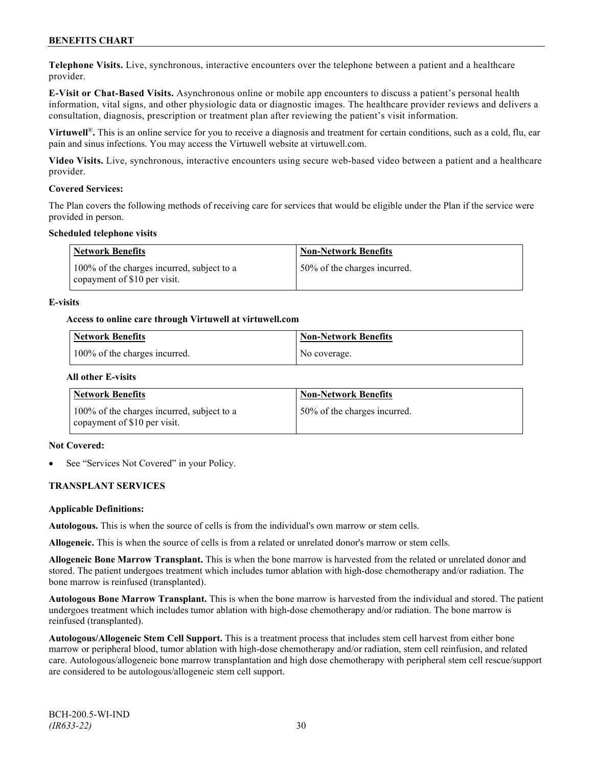**Telephone Visits.** Live, synchronous, interactive encounters over the telephone between a patient and a healthcare provider.

**E-Visit or Chat-Based Visits.** Asynchronous online or mobile app encounters to discuss a patient's personal health information, vital signs, and other physiologic data or diagnostic images. The healthcare provider reviews and delivers a consultation, diagnosis, prescription or treatment plan after reviewing the patient's visit information.

**Virtuwell<sup>®</sup>**. This is an online service for you to receive a diagnosis and treatment for certain conditions, such as a cold, flu, ear pain and sinus infections. You may access the Virtuwell website at [virtuwell.com.](https://www.virtuwell.com/)

**Video Visits.** Live, synchronous, interactive encounters using secure web-based video between a patient and a healthcare provider.

### **Covered Services:**

The Plan covers the following methods of receiving care for services that would be eligible under the Plan if the service were provided in person.

### **Scheduled telephone visits**

| <b>Network Benefits</b>                                                    | <b>Non-Network Benefits</b>  |
|----------------------------------------------------------------------------|------------------------------|
| 100% of the charges incurred, subject to a<br>copayment of \$10 per visit. | 50% of the charges incurred. |

### **E-visits**

### **Access to online care through Virtuwell at [virtuwell.com](http://www.virtuwell.com/)**

| Network Benefits              | Non-Network Benefits |
|-------------------------------|----------------------|
| 100% of the charges incurred. | No coverage.         |

### **All other E-visits**

| Network Benefits                                                           | <b>Non-Network Benefits</b>  |
|----------------------------------------------------------------------------|------------------------------|
| 100% of the charges incurred, subject to a<br>copayment of \$10 per visit. | 50% of the charges incurred. |

#### **Not Covered:**

See "Services Not Covered" in your Policy.

## **TRANSPLANT SERVICES**

#### **Applicable Definitions:**

**Autologous.** This is when the source of cells is from the individual's own marrow or stem cells.

**Allogeneic.** This is when the source of cells is from a related or unrelated donor's marrow or stem cells.

**Allogeneic Bone Marrow Transplant.** This is when the bone marrow is harvested from the related or unrelated donor and stored. The patient undergoes treatment which includes tumor ablation with high-dose chemotherapy and/or radiation. The bone marrow is reinfused (transplanted).

**Autologous Bone Marrow Transplant.** This is when the bone marrow is harvested from the individual and stored. The patient undergoes treatment which includes tumor ablation with high-dose chemotherapy and/or radiation. The bone marrow is reinfused (transplanted).

**Autologous/Allogeneic Stem Cell Support.** This is a treatment process that includes stem cell harvest from either bone marrow or peripheral blood, tumor ablation with high-dose chemotherapy and/or radiation, stem cell reinfusion, and related care. Autologous/allogeneic bone marrow transplantation and high dose chemotherapy with peripheral stem cell rescue/support are considered to be autologous/allogeneic stem cell support.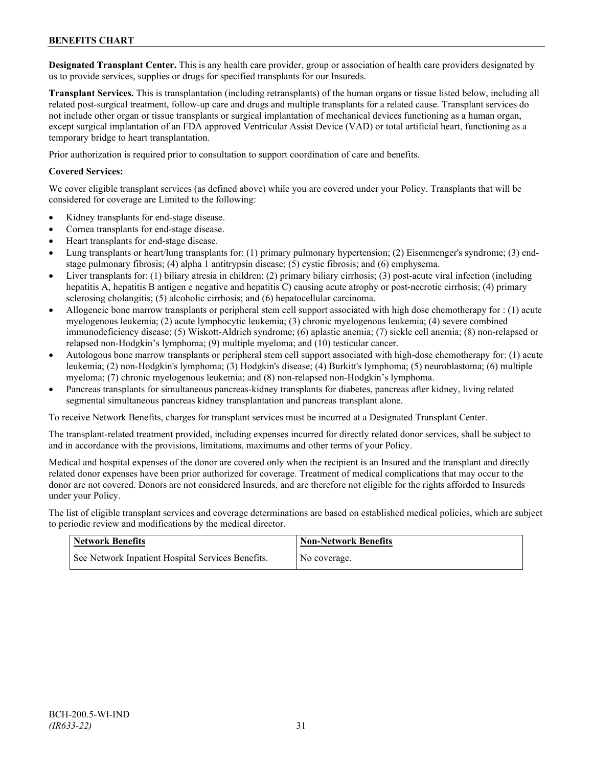**Designated Transplant Center.** This is any health care provider, group or association of health care providers designated by us to provide services, supplies or drugs for specified transplants for our Insureds.

**Transplant Services.** This is transplantation (including retransplants) of the human organs or tissue listed below, including all related post-surgical treatment, follow-up care and drugs and multiple transplants for a related cause. Transplant services do not include other organ or tissue transplants or surgical implantation of mechanical devices functioning as a human organ, except surgical implantation of an FDA approved Ventricular Assist Device (VAD) or total artificial heart, functioning as a temporary bridge to heart transplantation.

Prior authorization is required prior to consultation to support coordination of care and benefits.

### **Covered Services:**

We cover eligible transplant services (as defined above) while you are covered under your Policy. Transplants that will be considered for coverage are Limited to the following:

- Kidney transplants for end-stage disease.
- Cornea transplants for end-stage disease.
- Heart transplants for end-stage disease.
- Lung transplants or heart/lung transplants for: (1) primary pulmonary hypertension; (2) Eisenmenger's syndrome; (3) endstage pulmonary fibrosis; (4) alpha 1 antitrypsin disease; (5) cystic fibrosis; and (6) emphysema.
- Liver transplants for: (1) biliary atresia in children; (2) primary biliary cirrhosis; (3) post-acute viral infection (including hepatitis A, hepatitis B antigen e negative and hepatitis C) causing acute atrophy or post-necrotic cirrhosis; (4) primary sclerosing cholangitis; (5) alcoholic cirrhosis; and (6) hepatocellular carcinoma.
- Allogeneic bone marrow transplants or peripheral stem cell support associated with high dose chemotherapy for : (1) acute myelogenous leukemia; (2) acute lymphocytic leukemia; (3) chronic myelogenous leukemia; (4) severe combined immunodeficiency disease; (5) Wiskott-Aldrich syndrome; (6) aplastic anemia; (7) sickle cell anemia; (8) non-relapsed or relapsed non-Hodgkin's lymphoma; (9) multiple myeloma; and (10) testicular cancer.
- Autologous bone marrow transplants or peripheral stem cell support associated with high-dose chemotherapy for: (1) acute leukemia; (2) non-Hodgkin's lymphoma; (3) Hodgkin's disease; (4) Burkitt's lymphoma; (5) neuroblastoma; (6) multiple myeloma; (7) chronic myelogenous leukemia; and (8) non-relapsed non-Hodgkin's lymphoma.
- Pancreas transplants for simultaneous pancreas-kidney transplants for diabetes, pancreas after kidney, living related segmental simultaneous pancreas kidney transplantation and pancreas transplant alone.

To receive Network Benefits, charges for transplant services must be incurred at a Designated Transplant Center.

The transplant-related treatment provided, including expenses incurred for directly related donor services, shall be subject to and in accordance with the provisions, limitations, maximums and other terms of your Policy.

Medical and hospital expenses of the donor are covered only when the recipient is an Insured and the transplant and directly related donor expenses have been prior authorized for coverage. Treatment of medical complications that may occur to the donor are not covered. Donors are not considered Insureds, and are therefore not eligible for the rights afforded to Insureds under your Policy.

The list of eligible transplant services and coverage determinations are based on established medical policies, which are subject to periodic review and modifications by the medical director.

| <b>Network Benefits</b>                           | <b>Non-Network Benefits</b> |
|---------------------------------------------------|-----------------------------|
| See Network Inpatient Hospital Services Benefits. | No coverage.                |